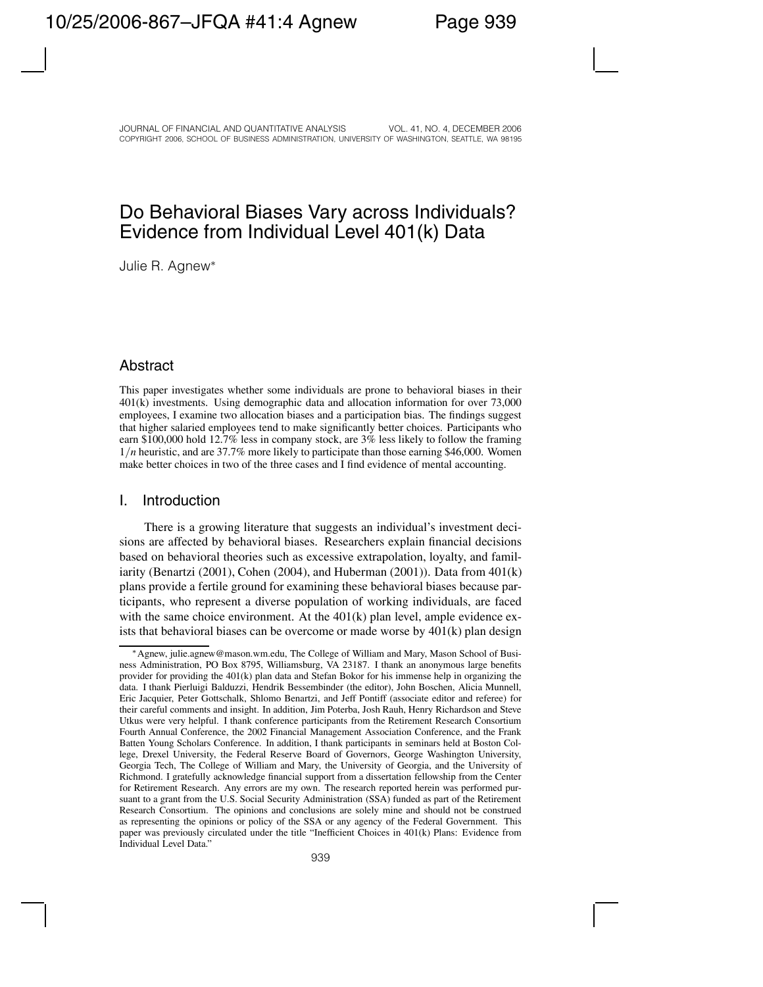# Do Behavioral Biases Vary across Individuals? Evidence from Individual Level 401(k) Data

Julie R. Agnew∗

## **Abstract**

This paper investigates whether some individuals are prone to behavioral biases in their 401(k) investments. Using demographic data and allocation information for over 73,000 employees, I examine two allocation biases and a participation bias. The findings suggest that higher salaried employees tend to make significantly better choices. Participants who earn \$100,000 hold 12.7% less in company stock, are 3% less likely to follow the framing 1*/n* heuristic, and are 37.7% more likely to participate than those earning \$46,000. Women make better choices in two of the three cases and I find evidence of mental accounting.

## I. Introduction

There is a growing literature that suggests an individual's investment decisions are affected by behavioral biases. Researchers explain financial decisions based on behavioral theories such as excessive extrapolation, loyalty, and familiarity (Benartzi (2001), Cohen (2004), and Huberman (2001)). Data from  $401(k)$ plans provide a fertile ground for examining these behavioral biases because participants, who represent a diverse population of working individuals, are faced with the same choice environment. At the 401(k) plan level, ample evidence exists that behavioral biases can be overcome or made worse by 401(k) plan design

<sup>∗</sup>Agnew, julie.agnew@mason.wm.edu, The College of William and Mary, Mason School of Business Administration, PO Box 8795, Williamsburg, VA 23187. I thank an anonymous large benefits provider for providing the 401(k) plan data and Stefan Bokor for his immense help in organizing the data. I thank Pierluigi Balduzzi, Hendrik Bessembinder (the editor), John Boschen, Alicia Munnell, Eric Jacquier, Peter Gottschalk, Shlomo Benartzi, and Jeff Pontiff (associate editor and referee) for their careful comments and insight. In addition, Jim Poterba, Josh Rauh, Henry Richardson and Steve Utkus were very helpful. I thank conference participants from the Retirement Research Consortium Fourth Annual Conference, the 2002 Financial Management Association Conference, and the Frank Batten Young Scholars Conference. In addition, I thank participants in seminars held at Boston College, Drexel University, the Federal Reserve Board of Governors, George Washington University, Georgia Tech, The College of William and Mary, the University of Georgia, and the University of Richmond. I gratefully acknowledge financial support from a dissertation fellowship from the Center for Retirement Research. Any errors are my own. The research reported herein was performed pursuant to a grant from the U.S. Social Security Administration (SSA) funded as part of the Retirement Research Consortium. The opinions and conclusions are solely mine and should not be construed as representing the opinions or policy of the SSA or any agency of the Federal Government. This paper was previously circulated under the title "Inefficient Choices in 401(k) Plans: Evidence from Individual Level Data."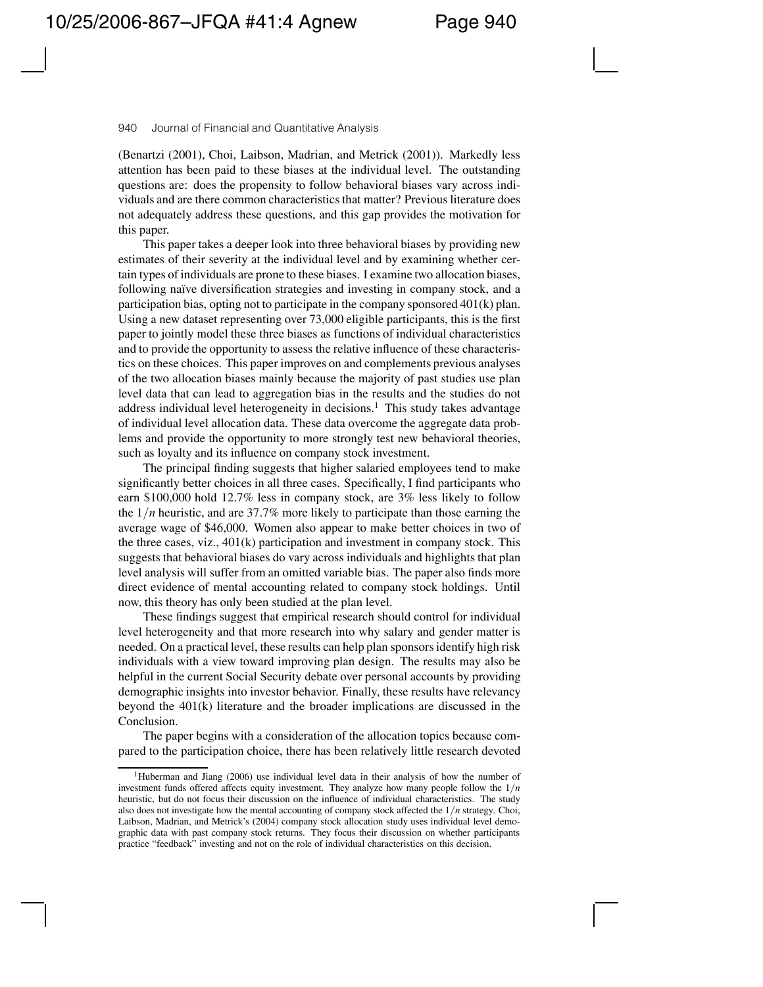(Benartzi (2001), Choi, Laibson, Madrian, and Metrick (2001)). Markedly less attention has been paid to these biases at the individual level. The outstanding questions are: does the propensity to follow behavioral biases vary across individuals and are there common characteristics that matter? Previous literature does not adequately address these questions, and this gap provides the motivation for this paper.

This paper takes a deeper look into three behavioral biases by providing new estimates of their severity at the individual level and by examining whether certain types of individuals are prone to these biases. I examine two allocation biases, following naïve diversification strategies and investing in company stock, and a participation bias, opting not to participate in the company sponsored 401(k) plan. Using a new dataset representing over 73,000 eligible participants, this is the first paper to jointly model these three biases as functions of individual characteristics and to provide the opportunity to assess the relative influence of these characteristics on these choices. This paper improves on and complements previous analyses of the two allocation biases mainly because the majority of past studies use plan level data that can lead to aggregation bias in the results and the studies do not address individual level heterogeneity in decisions.<sup>1</sup> This study takes advantage of individual level allocation data. These data overcome the aggregate data problems and provide the opportunity to more strongly test new behavioral theories, such as loyalty and its influence on company stock investment.

The principal finding suggests that higher salaried employees tend to make significantly better choices in all three cases. Specifically, I find participants who earn \$100,000 hold 12.7% less in company stock, are 3% less likely to follow the 1*/n* heuristic, and are 37.7% more likely to participate than those earning the average wage of \$46,000. Women also appear to make better choices in two of the three cases, viz.,  $401(k)$  participation and investment in company stock. This suggests that behavioral biases do vary across individuals and highlights that plan level analysis will suffer from an omitted variable bias. The paper also finds more direct evidence of mental accounting related to company stock holdings. Until now, this theory has only been studied at the plan level.

These findings suggest that empirical research should control for individual level heterogeneity and that more research into why salary and gender matter is needed. On a practical level, these results can help plan sponsors identify high risk individuals with a view toward improving plan design. The results may also be helpful in the current Social Security debate over personal accounts by providing demographic insights into investor behavior. Finally, these results have relevancy beyond the 401(k) literature and the broader implications are discussed in the Conclusion.

The paper begins with a consideration of the allocation topics because compared to the participation choice, there has been relatively little research devoted

<sup>1</sup>Huberman and Jiang (2006) use individual level data in their analysis of how the number of investment funds offered affects equity investment. They analyze how many people follow the 1*/n* heuristic, but do not focus their discussion on the influence of individual characteristics. The study also does not investigate how the mental accounting of company stock affected the 1*/n* strategy. Choi, Laibson, Madrian, and Metrick's (2004) company stock allocation study uses individual level demographic data with past company stock returns. They focus their discussion on whether participants practice "feedback" investing and not on the role of individual characteristics on this decision.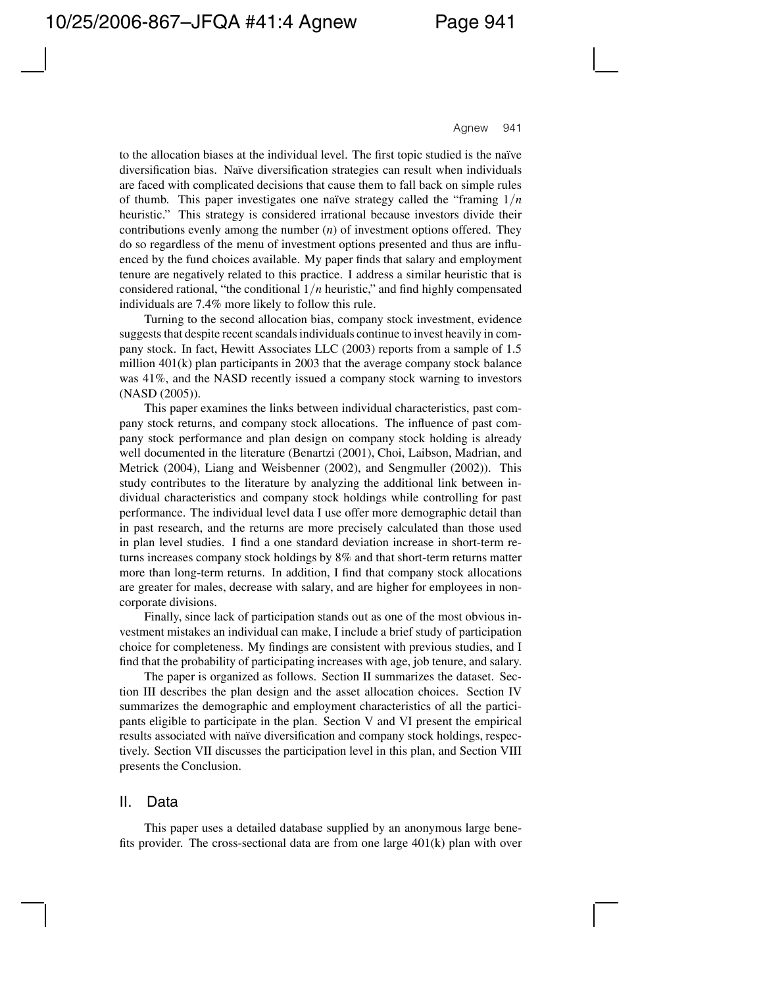to the allocation biases at the individual level. The first topic studied is the naïve diversification bias. Naïve diversification strategies can result when individuals are faced with complicated decisions that cause them to fall back on simple rules of thumb. This paper investigates one naïve strategy called the "framing  $1/n$ heuristic." This strategy is considered irrational because investors divide their contributions evenly among the number (*n*) of investment options offered. They do so regardless of the menu of investment options presented and thus are influenced by the fund choices available. My paper finds that salary and employment tenure are negatively related to this practice. I address a similar heuristic that is considered rational, "the conditional 1*/n* heuristic," and find highly compensated individuals are 7.4% more likely to follow this rule.

Turning to the second allocation bias, company stock investment, evidence suggests that despite recent scandals individuals continue to invest heavily in company stock. In fact, Hewitt Associates LLC (2003) reports from a sample of 1.5 million 401(k) plan participants in 2003 that the average company stock balance was 41%, and the NASD recently issued a company stock warning to investors (NASD (2005)).

This paper examines the links between individual characteristics, past company stock returns, and company stock allocations. The influence of past company stock performance and plan design on company stock holding is already well documented in the literature (Benartzi (2001), Choi, Laibson, Madrian, and Metrick (2004), Liang and Weisbenner (2002), and Sengmuller (2002)). This study contributes to the literature by analyzing the additional link between individual characteristics and company stock holdings while controlling for past performance. The individual level data I use offer more demographic detail than in past research, and the returns are more precisely calculated than those used in plan level studies. I find a one standard deviation increase in short-term returns increases company stock holdings by 8% and that short-term returns matter more than long-term returns. In addition, I find that company stock allocations are greater for males, decrease with salary, and are higher for employees in noncorporate divisions.

Finally, since lack of participation stands out as one of the most obvious investment mistakes an individual can make, I include a brief study of participation choice for completeness. My findings are consistent with previous studies, and I find that the probability of participating increases with age, job tenure, and salary.

The paper is organized as follows. Section II summarizes the dataset. Section III describes the plan design and the asset allocation choices. Section IV summarizes the demographic and employment characteristics of all the participants eligible to participate in the plan. Section V and VI present the empirical results associated with naïve diversification and company stock holdings, respectively. Section VII discusses the participation level in this plan, and Section VIII presents the Conclusion.

## II. Data

This paper uses a detailed database supplied by an anonymous large benefits provider. The cross-sectional data are from one large 401(k) plan with over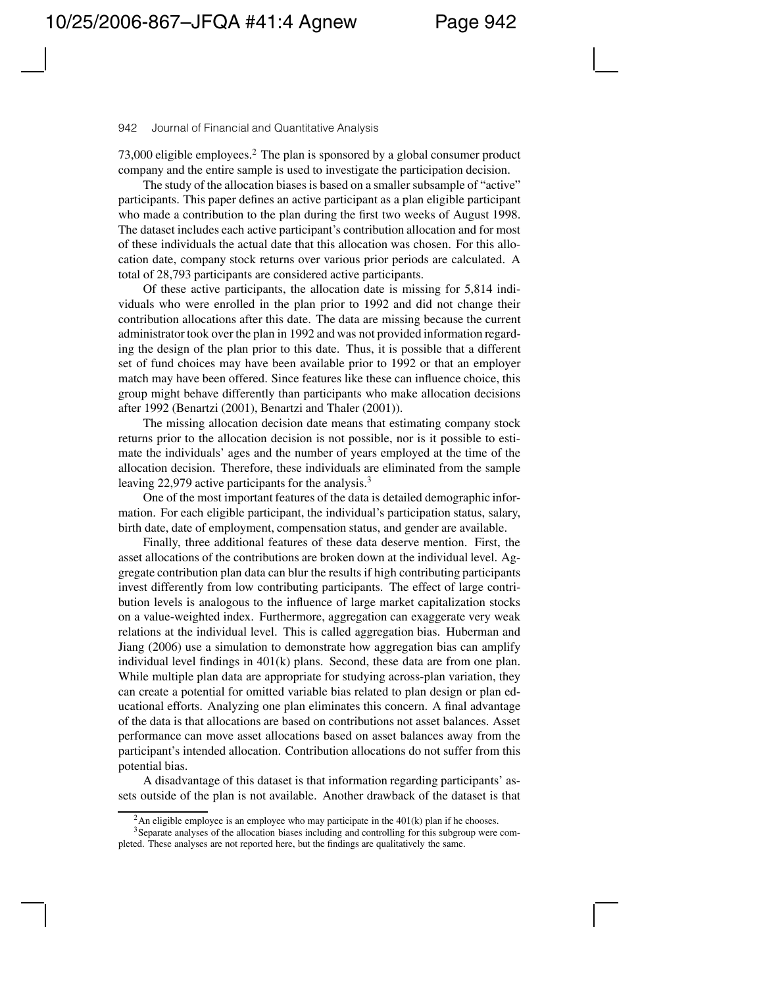73,000 eligible employees.2 The plan is sponsored by a global consumer product company and the entire sample is used to investigate the participation decision.

The study of the allocation biases is based on a smaller subsample of "active" participants. This paper defines an active participant as a plan eligible participant who made a contribution to the plan during the first two weeks of August 1998. The dataset includes each active participant's contribution allocation and for most of these individuals the actual date that this allocation was chosen. For this allocation date, company stock returns over various prior periods are calculated. A total of 28,793 participants are considered active participants.

Of these active participants, the allocation date is missing for 5,814 individuals who were enrolled in the plan prior to 1992 and did not change their contribution allocations after this date. The data are missing because the current administrator took over the plan in 1992 and was not provided information regarding the design of the plan prior to this date. Thus, it is possible that a different set of fund choices may have been available prior to 1992 or that an employer match may have been offered. Since features like these can influence choice, this group might behave differently than participants who make allocation decisions after 1992 (Benartzi (2001), Benartzi and Thaler (2001)).

The missing allocation decision date means that estimating company stock returns prior to the allocation decision is not possible, nor is it possible to estimate the individuals' ages and the number of years employed at the time of the allocation decision. Therefore, these individuals are eliminated from the sample leaving 22,979 active participants for the analysis.<sup>3</sup>

One of the most important features of the data is detailed demographic information. For each eligible participant, the individual's participation status, salary, birth date, date of employment, compensation status, and gender are available.

Finally, three additional features of these data deserve mention. First, the asset allocations of the contributions are broken down at the individual level. Aggregate contribution plan data can blur the results if high contributing participants invest differently from low contributing participants. The effect of large contribution levels is analogous to the influence of large market capitalization stocks on a value-weighted index. Furthermore, aggregation can exaggerate very weak relations at the individual level. This is called aggregation bias. Huberman and Jiang (2006) use a simulation to demonstrate how aggregation bias can amplify individual level findings in 401(k) plans. Second, these data are from one plan. While multiple plan data are appropriate for studying across-plan variation, they can create a potential for omitted variable bias related to plan design or plan educational efforts. Analyzing one plan eliminates this concern. A final advantage of the data is that allocations are based on contributions not asset balances. Asset performance can move asset allocations based on asset balances away from the participant's intended allocation. Contribution allocations do not suffer from this potential bias.

A disadvantage of this dataset is that information regarding participants' assets outside of the plan is not available. Another drawback of the dataset is that

<sup>&</sup>lt;sup>2</sup>An eligible employee is an employee who may participate in the  $401(k)$  plan if he chooses.

<sup>&</sup>lt;sup>3</sup>Separate analyses of the allocation biases including and controlling for this subgroup were completed. These analyses are not reported here, but the findings are qualitatively the same.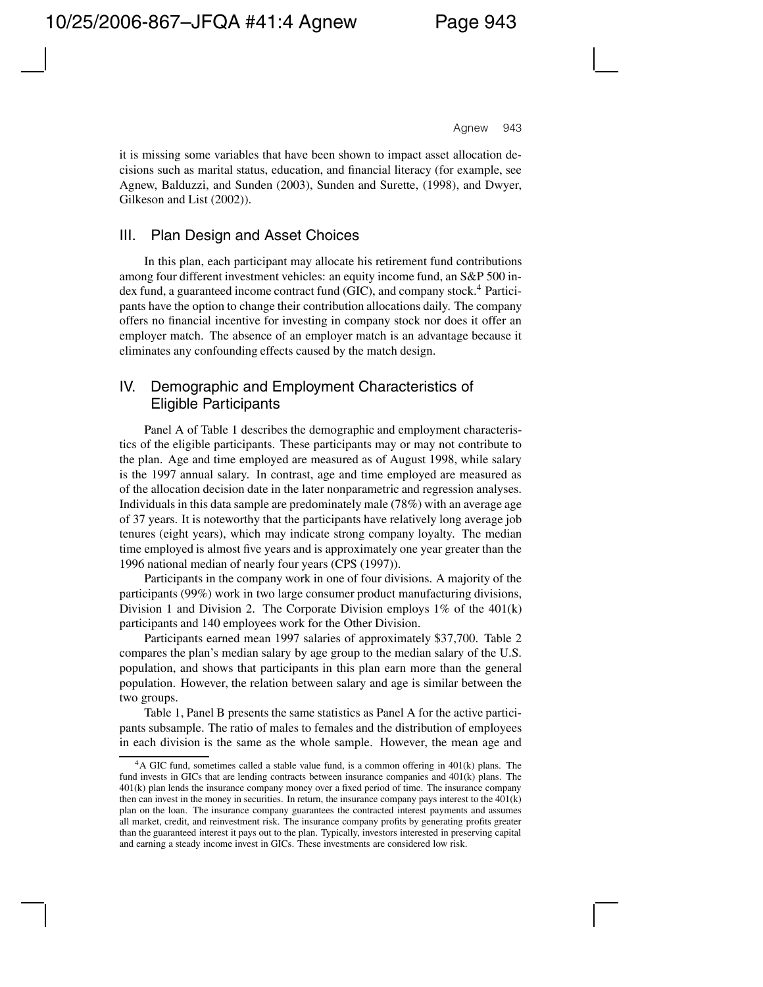it is missing some variables that have been shown to impact asset allocation decisions such as marital status, education, and financial literacy (for example, see Agnew, Balduzzi, and Sunden (2003), Sunden and Surette, (1998), and Dwyer, Gilkeson and List (2002)).

## III. Plan Design and Asset Choices

In this plan, each participant may allocate his retirement fund contributions among four different investment vehicles: an equity income fund, an S&P 500 index fund, a guaranteed income contract fund (GIC), and company stock.<sup>4</sup> Participants have the option to change their contribution allocations daily. The company offers no financial incentive for investing in company stock nor does it offer an employer match. The absence of an employer match is an advantage because it eliminates any confounding effects caused by the match design.

## IV. Demographic and Employment Characteristics of Eligible Participants

Panel A of Table 1 describes the demographic and employment characteristics of the eligible participants. These participants may or may not contribute to the plan. Age and time employed are measured as of August 1998, while salary is the 1997 annual salary. In contrast, age and time employed are measured as of the allocation decision date in the later nonparametric and regression analyses. Individuals in this data sample are predominately male (78%) with an average age of 37 years. It is noteworthy that the participants have relatively long average job tenures (eight years), which may indicate strong company loyalty. The median time employed is almost five years and is approximately one year greater than the 1996 national median of nearly four years (CPS (1997)).

Participants in the company work in one of four divisions. A majority of the participants (99%) work in two large consumer product manufacturing divisions, Division 1 and Division 2. The Corporate Division employs  $1\%$  of the  $401(k)$ participants and 140 employees work for the Other Division.

Participants earned mean 1997 salaries of approximately \$37,700. Table 2 compares the plan's median salary by age group to the median salary of the U.S. population, and shows that participants in this plan earn more than the general population. However, the relation between salary and age is similar between the two groups.

Table 1, Panel B presents the same statistics as Panel A for the active participants subsample. The ratio of males to females and the distribution of employees in each division is the same as the whole sample. However, the mean age and

<sup>&</sup>lt;sup>4</sup>A GIC fund, sometimes called a stable value fund, is a common offering in 401(k) plans. The fund invests in GICs that are lending contracts between insurance companies and 401(k) plans. The 401(k) plan lends the insurance company money over a fixed period of time. The insurance company then can invest in the money in securities. In return, the insurance company pays interest to the  $401(k)$ plan on the loan. The insurance company guarantees the contracted interest payments and assumes all market, credit, and reinvestment risk. The insurance company profits by generating profits greater than the guaranteed interest it pays out to the plan. Typically, investors interested in preserving capital and earning a steady income invest in GICs. These investments are considered low risk.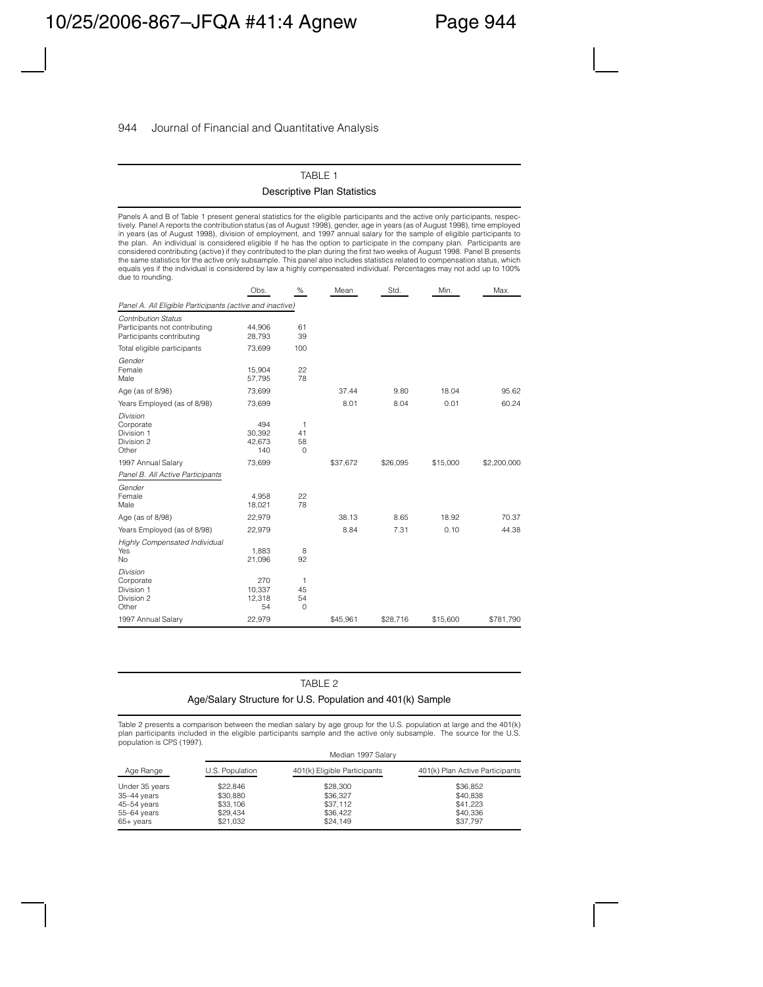### TABLE 1 Descriptive Plan Statistics

Panels A and B of Table 1 present general statistics for the eligible participants and the active only participants, respectively. Panel A reports the contribution status (as of August 1998), gender, age in years (as of August 1998), time employed in years (as of August 1998), division of employment, and 1997 annual salary for the sample of eligible participants to the plan. An individual is considered eligible if he has the option to participate in the company plan. Participants are considered contributing (active) if they contributed to the plan during the first two weeks of August 1998. Panel B presents the same statistics for the active only subsample. This panel also includes statistics related to compensation status, which equals yes if the individual is considered by law a highly compensated individual. Percentages may not add up to 100% due to rounding.

|                                                                                          | Obs.                           | $\%$                                    | Mean     | Std.     | Min.     | Max.        |
|------------------------------------------------------------------------------------------|--------------------------------|-----------------------------------------|----------|----------|----------|-------------|
| Panel A. All Eligible Participants (active and inactive)                                 |                                |                                         |          |          |          |             |
| <b>Contribution Status</b><br>Participants not contributing<br>Participants contributing | 44,906<br>28,793               | 61<br>39                                |          |          |          |             |
| Total eligible participants                                                              | 73,699                         | 100                                     |          |          |          |             |
| Gender<br>Female<br>Male                                                                 | 15,904<br>57,795               | 22<br>78                                |          |          |          |             |
| Age (as of 8/98)                                                                         | 73,699                         |                                         | 37.44    | 9.80     | 18.04    | 95.62       |
| Years Employed (as of 8/98)                                                              | 73,699                         |                                         | 8.01     | 8.04     | 0.01     | 60.24       |
| Division<br>Corporate<br>Division 1<br>Division 2<br>Other                               | 494<br>30.392<br>42,673<br>140 | 1<br>41<br>58<br>$\circ$                |          |          |          |             |
| 1997 Annual Salary                                                                       | 73,699                         |                                         | \$37,672 | \$26,095 | \$15,000 | \$2,200,000 |
| Panel B. All Active Participants                                                         |                                |                                         |          |          |          |             |
| Gender<br>Female<br>Male                                                                 | 4,958<br>18,021                | 22<br>78                                |          |          |          |             |
| Age (as of 8/98)                                                                         | 22,979                         |                                         | 38.13    | 8.65     | 18.92    | 70.37       |
| Years Employed (as of 8/98)                                                              | 22,979                         |                                         | 8.84     | 7.31     | 0.10     | 44.38       |
| Highly Compensated Individual<br>Yes<br><b>No</b>                                        | 1,883<br>21,096                | 8<br>92                                 |          |          |          |             |
| Division<br>Corporate<br>Division 1<br>Division 2<br>Other                               | 270<br>10,337<br>12,318<br>54  | $\mathbf{1}$<br>45<br>54<br>$\mathbf 0$ |          |          |          |             |
| 1997 Annual Salary                                                                       | 22,979                         |                                         | \$45,961 | \$28,716 | \$15,600 | \$781,790   |

#### TABLE 2

#### Age/Salary Structure for U.S. Population and 401(k) Sample

Table 2 presents a comparison between the median salary by age group for the U.S. population at large and the 401(k) plan participants included in the eligible participants sample and the active only subsample. The source for the U.S. population is CPS (1997).

|                       |                 | Median 1997 Salary           |                                 |
|-----------------------|-----------------|------------------------------|---------------------------------|
| Age Range             | U.S. Population | 401(k) Eligible Participants | 401(k) Plan Active Participants |
| Under 35 years        | \$22.846        | \$28,300                     | \$36.852                        |
| $35-44$ years         | \$30,880        | \$36,327                     | \$40,838                        |
| 45-54 years           | \$33,106        | \$37.112                     | \$41.223                        |
| 55-64 years           | \$29.434        | \$36,422                     | \$40.336                        |
| $65 + \mathrm{years}$ | \$21.032        | \$24,149                     | \$37,797                        |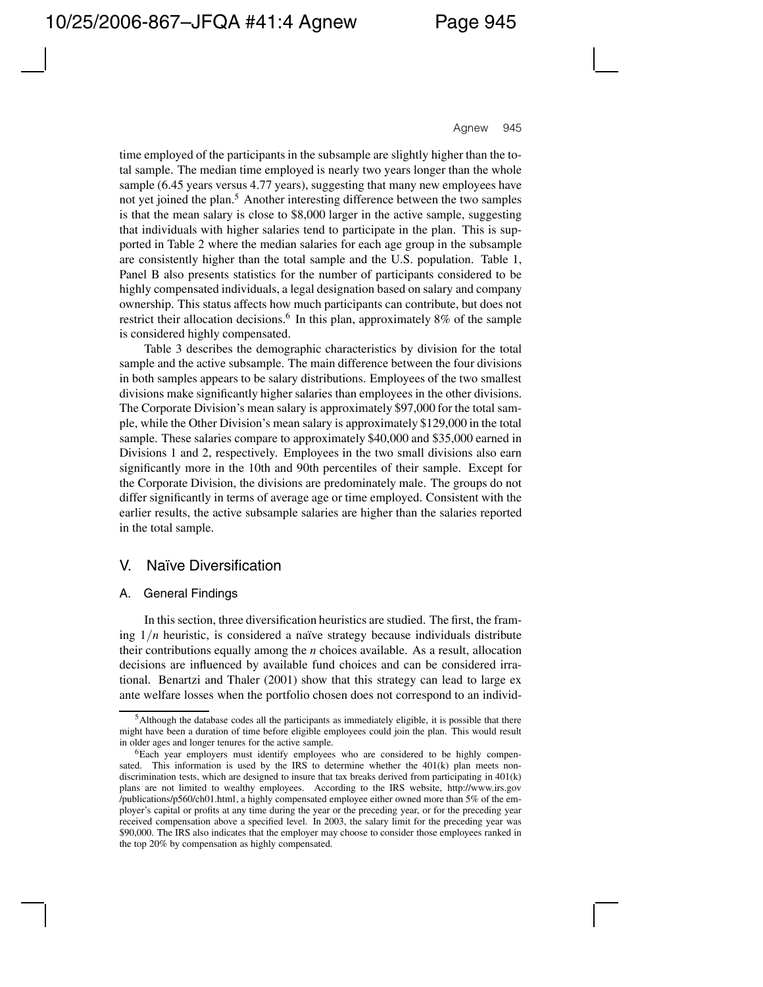time employed of the participants in the subsample are slightly higher than the total sample. The median time employed is nearly two years longer than the whole sample (6.45 years versus 4.77 years), suggesting that many new employees have not yet joined the plan.5 Another interesting difference between the two samples is that the mean salary is close to \$8,000 larger in the active sample, suggesting that individuals with higher salaries tend to participate in the plan. This is supported in Table 2 where the median salaries for each age group in the subsample are consistently higher than the total sample and the U.S. population. Table 1, Panel B also presents statistics for the number of participants considered to be highly compensated individuals, a legal designation based on salary and company ownership. This status affects how much participants can contribute, but does not restrict their allocation decisions.<sup>6</sup> In this plan, approximately 8% of the sample is considered highly compensated.

Table 3 describes the demographic characteristics by division for the total sample and the active subsample. The main difference between the four divisions in both samples appears to be salary distributions. Employees of the two smallest divisions make significantly higher salaries than employees in the other divisions. The Corporate Division's mean salary is approximately \$97,000 for the total sample, while the Other Division's mean salary is approximately \$129,000 in the total sample. These salaries compare to approximately \$40,000 and \$35,000 earned in Divisions 1 and 2, respectively. Employees in the two small divisions also earn significantly more in the 10th and 90th percentiles of their sample. Except for the Corporate Division, the divisions are predominately male. The groups do not differ significantly in terms of average age or time employed. Consistent with the earlier results, the active subsample salaries are higher than the salaries reported in the total sample.

## V. Na¨ıve Diversification

### A. General Findings

In this section, three diversification heuristics are studied. The first, the framing  $1/n$  heuristic, is considered a naïve strategy because individuals distribute their contributions equally among the *n* choices available. As a result, allocation decisions are influenced by available fund choices and can be considered irrational. Benartzi and Thaler (2001) show that this strategy can lead to large ex ante welfare losses when the portfolio chosen does not correspond to an individ-

<sup>&</sup>lt;sup>5</sup>Although the database codes all the participants as immediately eligible, it is possible that there might have been a duration of time before eligible employees could join the plan. This would result in older ages and longer tenures for the active sample.

<sup>6</sup>Each year employers must identify employees who are considered to be highly compensated. This information is used by the IRS to determine whether the  $401(k)$  plan meets nondiscrimination tests, which are designed to insure that tax breaks derived from participating in 401(k) plans are not limited to wealthy employees. According to the IRS website, http://www.irs.gov /publications/p560/ch01.html, a highly compensated employee either owned more than 5% of the employer's capital or profits at any time during the year or the preceding year, or for the preceding year received compensation above a specified level. In 2003, the salary limit for the preceding year was \$90,000. The IRS also indicates that the employer may choose to consider those employees ranked in the top 20% by compensation as highly compensated.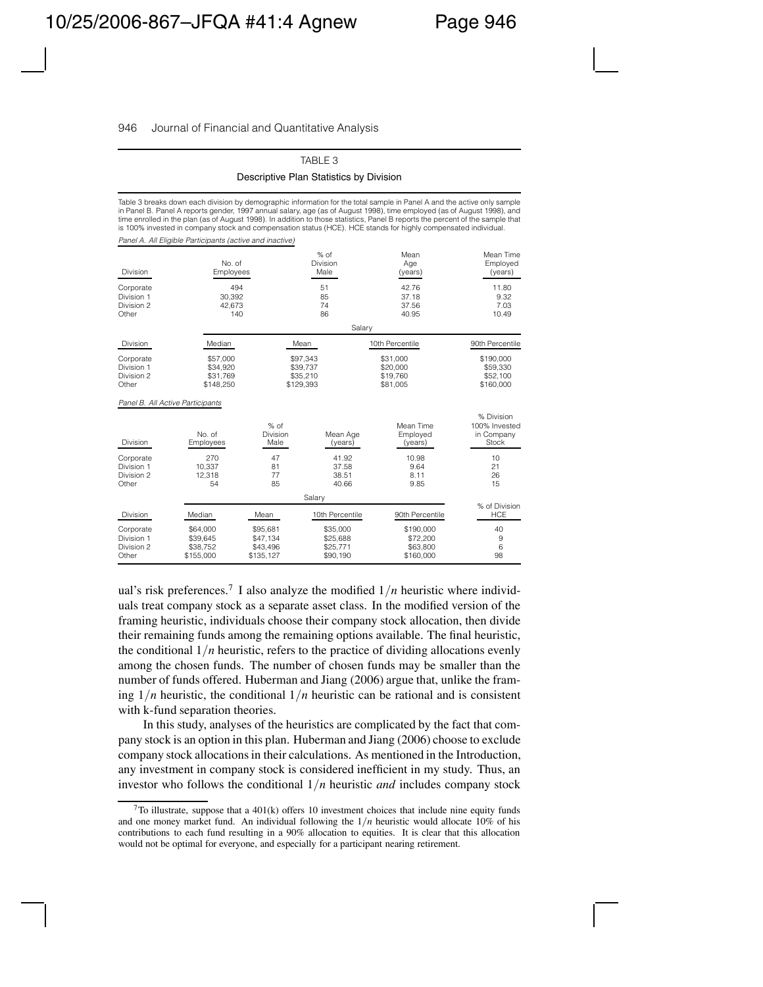#### TABLE 3

Descriptive Plan Statistics by Division

Table 3 breaks down each division by demographic information for the total sample in Panel A and the active only sample in Panel B. Panel A reports gender, 1997 annual salary, age (as of August 1998), time employed (as of August 1998), and time enrolled in the plan (as of August 1998). In addition to those statistics, Panel B reports the percent of the sample that is 100% invested in company stock and compensation status (HCE). HCE stands for highly compensated individual. *Panel A. All Eligible Participants (active and inactive)*

| <b>Division</b>                                | No. of<br>Employees                           |                                               | $%$ of<br>Division<br>Male                    | Mean<br>Age<br>(years)                         | Mean Time<br>Employed<br>(years)                   |
|------------------------------------------------|-----------------------------------------------|-----------------------------------------------|-----------------------------------------------|------------------------------------------------|----------------------------------------------------|
| Corporate<br>Division 1<br>Division 2<br>Other | 494<br>30,392<br>42.673<br>140                |                                               | 51<br>85<br>74<br>86                          | 42.76<br>37.18<br>37.56<br>40.95               | 11.80<br>9.32<br>7.03<br>10.49                     |
|                                                |                                               |                                               | Salary                                        |                                                |                                                    |
| Division                                       | Median                                        |                                               | Mean                                          | 10th Percentile                                | 90th Percentile                                    |
| Corporate<br>Division 1<br>Division 2<br>Other | \$57,000<br>\$34,920<br>\$31,769<br>\$148,250 |                                               | \$97,343<br>\$39,737<br>\$35,210<br>\$129,393 | \$31,000<br>\$20,000<br>\$19,760<br>\$81,005   | \$190,000<br>\$59,330<br>\$52,100<br>\$160,000     |
| Panel B. All Active Participants               |                                               |                                               |                                               |                                                |                                                    |
| <b>Division</b>                                | No. of<br>Employees                           | $%$ of<br>Division<br>Male                    | Mean Age<br>(years)                           | Mean Time<br>Employed<br>(years)               | % Division<br>100% Invested<br>in Company<br>Stock |
| Corporate<br>Division 1<br>Division 2<br>Other | 270<br>10.337<br>12,318<br>54                 | 47<br>81<br>77<br>85                          | 41.92<br>37.58<br>38.51<br>40.66              | 10.98<br>9.64<br>8.11<br>9.85                  | 10<br>21<br>26<br>15                               |
|                                                |                                               |                                               | Salary                                        |                                                |                                                    |
| <b>Division</b>                                | Median                                        | Mean                                          | 10th Percentile                               | 90th Percentile                                | % of Division<br><b>HCE</b>                        |
| Corporate<br>Division 1<br>Division 2<br>Other | \$64,000<br>\$39,645<br>\$38,752<br>\$155,000 | \$95.681<br>\$47,134<br>\$43,496<br>\$135,127 | \$35,000<br>\$25,688<br>\$25,771<br>\$90,190  | \$190,000<br>\$72,200<br>\$63,800<br>\$160,000 | 40<br>9<br>6<br>98                                 |

ual's risk preferences.<sup>7</sup> I also analyze the modified  $1/n$  heuristic where individuals treat company stock as a separate asset class. In the modified version of the framing heuristic, individuals choose their company stock allocation, then divide their remaining funds among the remaining options available. The final heuristic, the conditional  $1/n$  heuristic, refers to the practice of dividing allocations evenly among the chosen funds. The number of chosen funds may be smaller than the number of funds offered. Huberman and Jiang (2006) argue that, unlike the framing  $1/n$  heuristic, the conditional  $1/n$  heuristic can be rational and is consistent with k-fund separation theories.

In this study, analyses of the heuristics are complicated by the fact that company stock is an option in this plan. Huberman and Jiang (2006) choose to exclude company stock allocations in their calculations. As mentioned in the Introduction, any investment in company stock is considered inefficient in my study. Thus, an investor who follows the conditional 1*/n* heuristic *and* includes company stock

 $7\text{To illustrate, suppose that a } 401(k)$  offers 10 investment choices that include nine equity funds and one money market fund. An individual following the 1*/n* heuristic would allocate 10% of his contributions to each fund resulting in a 90% allocation to equities. It is clear that this allocation would not be optimal for everyone, and especially for a participant nearing retirement.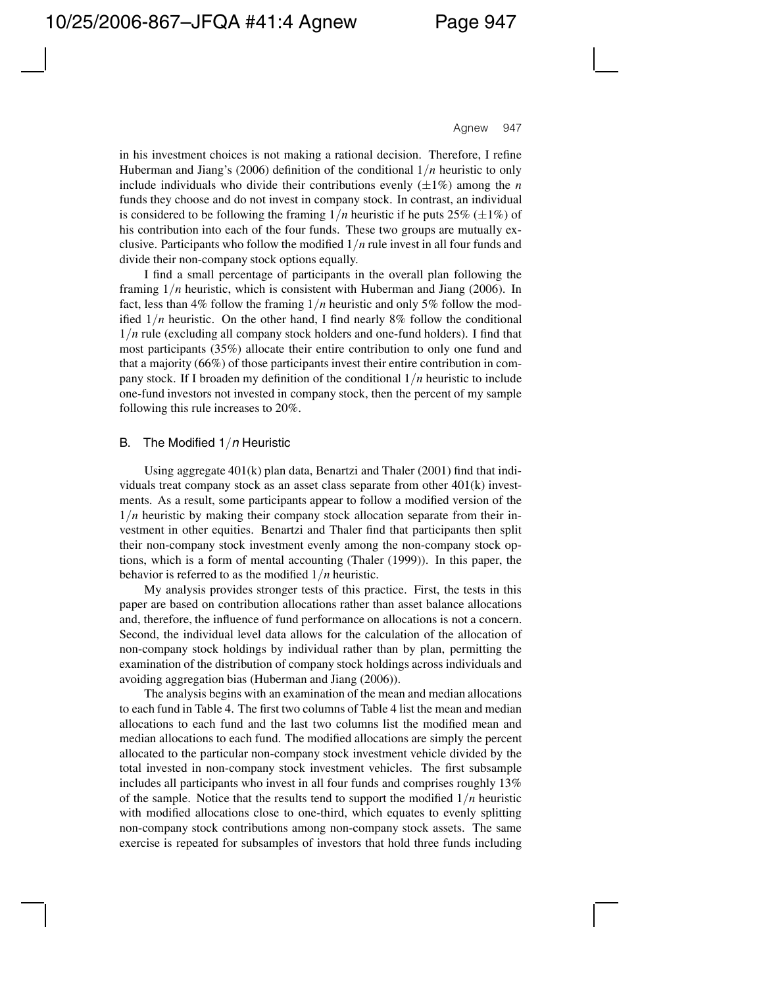in his investment choices is not making a rational decision. Therefore, I refine Huberman and Jiang's (2006) definition of the conditional 1*/n* heuristic to only include individuals who divide their contributions evenly  $(\pm 1\%)$  among the *n* funds they choose and do not invest in company stock. In contrast, an individual is considered to be following the framing  $1/n$  heuristic if he puts 25% ( $\pm 1\%$ ) of his contribution into each of the four funds. These two groups are mutually exclusive. Participants who follow the modified 1*/n* rule invest in all four funds and divide their non-company stock options equally.

I find a small percentage of participants in the overall plan following the framing 1*/n* heuristic, which is consistent with Huberman and Jiang (2006). In fact, less than 4% follow the framing 1*/n* heuristic and only 5% follow the modified  $1/n$  heuristic. On the other hand, I find nearly 8% follow the conditional 1*/n* rule (excluding all company stock holders and one-fund holders). I find that most participants (35%) allocate their entire contribution to only one fund and that a majority (66%) of those participants invest their entire contribution in company stock. If I broaden my definition of the conditional 1*/n* heuristic to include one-fund investors not invested in company stock, then the percent of my sample following this rule increases to 20%.

### B. The Modified 1*/n* Heuristic

Using aggregate 401(k) plan data, Benartzi and Thaler (2001) find that individuals treat company stock as an asset class separate from other  $401(k)$  investments. As a result, some participants appear to follow a modified version of the 1*/n* heuristic by making their company stock allocation separate from their investment in other equities. Benartzi and Thaler find that participants then split their non-company stock investment evenly among the non-company stock options, which is a form of mental accounting (Thaler (1999)). In this paper, the behavior is referred to as the modified 1*/n* heuristic.

My analysis provides stronger tests of this practice. First, the tests in this paper are based on contribution allocations rather than asset balance allocations and, therefore, the influence of fund performance on allocations is not a concern. Second, the individual level data allows for the calculation of the allocation of non-company stock holdings by individual rather than by plan, permitting the examination of the distribution of company stock holdings across individuals and avoiding aggregation bias (Huberman and Jiang (2006)).

The analysis begins with an examination of the mean and median allocations to each fund in Table 4. The first two columns of Table 4 list the mean and median allocations to each fund and the last two columns list the modified mean and median allocations to each fund. The modified allocations are simply the percent allocated to the particular non-company stock investment vehicle divided by the total invested in non-company stock investment vehicles. The first subsample includes all participants who invest in all four funds and comprises roughly 13% of the sample. Notice that the results tend to support the modified  $1/n$  heuristic with modified allocations close to one-third, which equates to evenly splitting non-company stock contributions among non-company stock assets. The same exercise is repeated for subsamples of investors that hold three funds including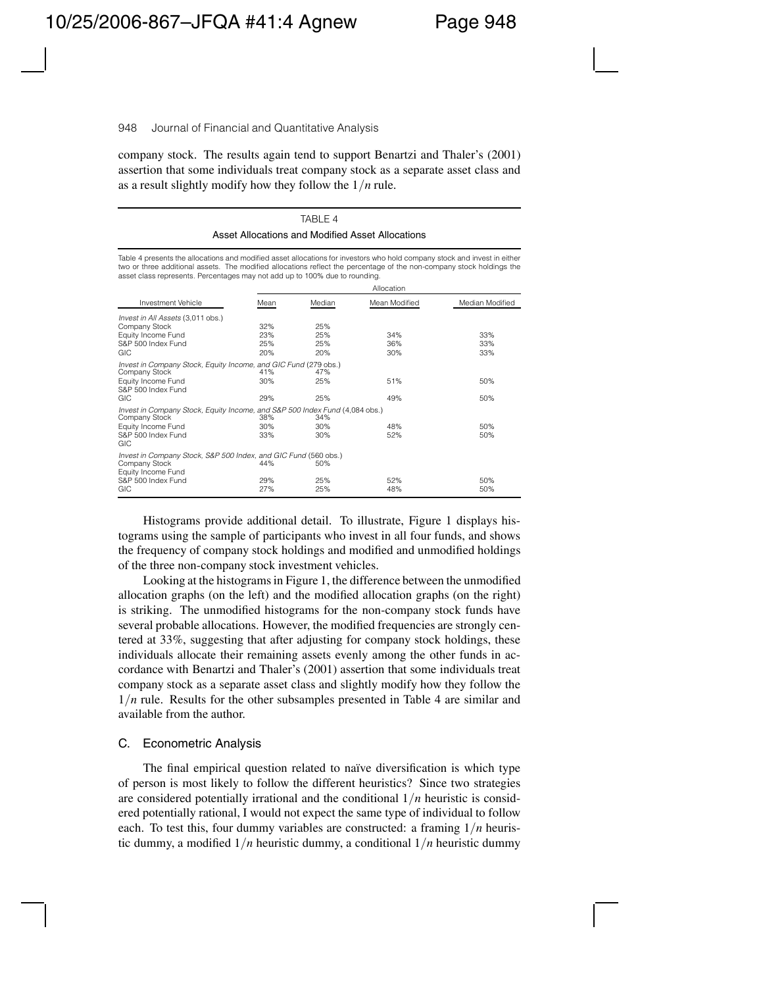company stock. The results again tend to support Benartzi and Thaler's (2001) assertion that some individuals treat company stock as a separate asset class and as a result slightly modify how they follow the 1*/n* rule.

TABLE  $\triangle$ 

|                                                                                                                                                                                                                                                                                                                                   |                          |                          | Asset Allocations and Modified Asset Allocations |                   |
|-----------------------------------------------------------------------------------------------------------------------------------------------------------------------------------------------------------------------------------------------------------------------------------------------------------------------------------|--------------------------|--------------------------|--------------------------------------------------|-------------------|
| Table 4 presents the allocations and modified asset allocations for investors who hold company stock and invest in either<br>two or three additional assets. The modified allocations reflect the percentage of the non-company stock holdings the<br>asset class represents. Percentages may not add up to 100% due to rounding. |                          |                          | Allocation                                       |                   |
| Investment Vehicle                                                                                                                                                                                                                                                                                                                | Mean                     | Median                   | Mean Modified                                    | Median Modified   |
|                                                                                                                                                                                                                                                                                                                                   |                          |                          |                                                  |                   |
| Invest in All Assets (3,011 obs.)<br>Company Stock<br>Equity Income Fund<br>S&P 500 Index Fund<br>GIC                                                                                                                                                                                                                             | 32%<br>23%<br>25%<br>20% | 25%<br>25%<br>25%<br>20% | 34%<br>36%<br>30%                                | 33%<br>33%<br>33% |
| Invest in Company Stock, Equity Income, and GIC Fund (279 obs.)<br>Company Stock<br>Equity Income Fund<br>S&P 500 Index Fund<br>GIC                                                                                                                                                                                               | 41%<br>30%<br>29%        | 47%<br>25%<br>25%        | 51%<br>49%                                       | 50%<br>50%        |
| Invest in Company Stock, Equity Income, and S&P 500 Index Fund (4,084 obs.)<br>Company Stock<br>Equity Income Fund<br>S&P 500 Index Fund<br>GIC                                                                                                                                                                                   | 38%<br>30%<br>33%        | 34%<br>30%<br>30%        | 48%<br>52%                                       | 50%<br>50%        |
| Invest in Company Stock, S&P 500 Index, and GIC Fund (560 obs.)<br>Company Stock<br>Equity Income Fund<br>S&P 500 Index Fund<br>GIC                                                                                                                                                                                               | 44%<br>29%<br>27%        | 50%<br>25%<br>25%        | 52%<br>48%                                       | 50%<br>50%        |

Histograms provide additional detail. To illustrate, Figure 1 displays histograms using the sample of participants who invest in all four funds, and shows the frequency of company stock holdings and modified and unmodified holdings of the three non-company stock investment vehicles.

Looking at the histograms in Figure 1, the difference between the unmodified allocation graphs (on the left) and the modified allocation graphs (on the right) is striking. The unmodified histograms for the non-company stock funds have several probable allocations. However, the modified frequencies are strongly centered at 33%, suggesting that after adjusting for company stock holdings, these individuals allocate their remaining assets evenly among the other funds in accordance with Benartzi and Thaler's (2001) assertion that some individuals treat company stock as a separate asset class and slightly modify how they follow the 1*/n* rule. Results for the other subsamples presented in Table 4 are similar and available from the author.

### C. Econometric Analysis

The final empirical question related to naïve diversification is which type of person is most likely to follow the different heuristics? Since two strategies are considered potentially irrational and the conditional 1*/n* heuristic is considered potentially rational, I would not expect the same type of individual to follow each. To test this, four dummy variables are constructed: a framing 1*/n* heuristic dummy, a modified  $1/n$  heuristic dummy, a conditional  $1/n$  heuristic dummy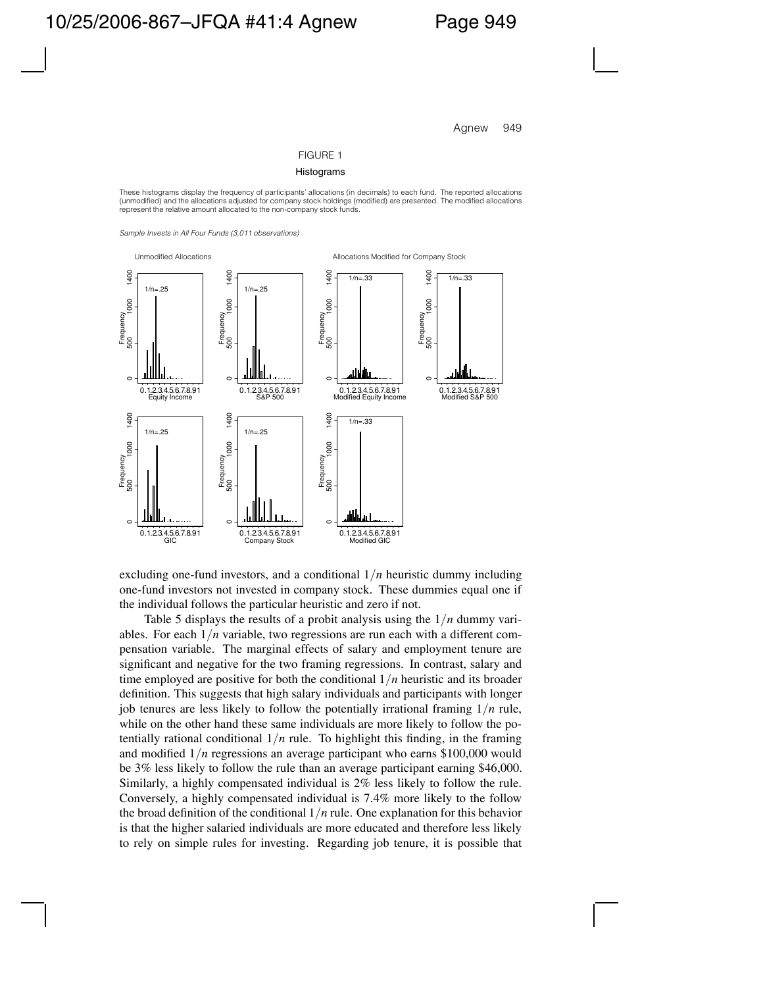#### FIGURE 1

#### Histograms

These histograms display the frequency of participants' allocations (in decimals) to each fund. The reported allocations (unmodified) and the allocations adjusted for company stock holdings (modified) are presented. The modified allocations represent the relative amount allocated to the non-company stock funds.

*Sample Invests in All Four Funds (3,011 observations)*



excluding one-fund investors, and a conditional 1*/n* heuristic dummy including one-fund investors not invested in company stock. These dummies equal one if the individual follows the particular heuristic and zero if not.

Table 5 displays the results of a probit analysis using the 1*/n* dummy variables. For each 1*/n* variable, two regressions are run each with a different compensation variable. The marginal effects of salary and employment tenure are significant and negative for the two framing regressions. In contrast, salary and time employed are positive for both the conditional 1*/n* heuristic and its broader definition. This suggests that high salary individuals and participants with longer job tenures are less likely to follow the potentially irrational framing 1*/n* rule, while on the other hand these same individuals are more likely to follow the potentially rational conditional  $1/n$  rule. To highlight this finding, in the framing and modified 1*/n* regressions an average participant who earns \$100,000 would be 3% less likely to follow the rule than an average participant earning \$46,000. Similarly, a highly compensated individual is 2% less likely to follow the rule. Conversely, a highly compensated individual is 7.4% more likely to the follow the broad definition of the conditional 1*/n* rule. One explanation for this behavior is that the higher salaried individuals are more educated and therefore less likely to rely on simple rules for investing. Regarding job tenure, it is possible that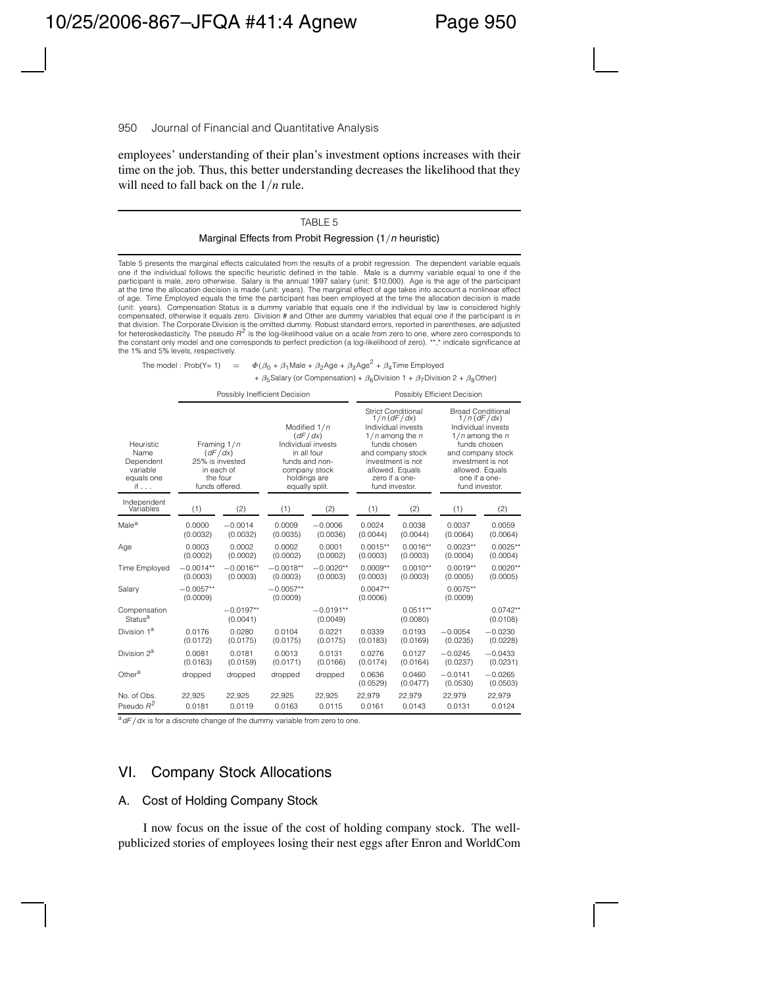employees' understanding of their plan's investment options increases with their time on the job. Thus, this better understanding decreases the likelihood that they will need to fall back on the 1*/n* rule.

#### TABLE 5

#### Marginal Effects from Probit Regression (1*/n* heuristic)

Table 5 presents the marginal effects calculated from the results of a probit regression. The dependent variable equals one if the individual follows the specific heuristic defined in the table. Male is a dummy variable equal to one if the participant is male, zero otherwise. Salary is the annual 1997 salary (unit: \$10,000). Age is the age of the participant at the time the allocation decision is made (unit: years). The marginal effect of age takes into account a nonlinear effect of age. Time Employed equals the time the participant has been employed at the time the allocation decision is made (unit: years). Compensation Status is a dummy variable that equals one if the individual by law is considered highly compensated, otherwise it equals zero. Division # and Other are dummy variables that equal one if the participant is in that division. The Corporate Division is the omitted dummy. Robust standard errors, reported in parentheses, are adjusted for heteroskedasticity. The pseudo *R*<sup>2</sup> is the log-likelihood value on a scale from zero to one, where zero corresponds to the constant only model and one corresponds to perfect prediction (a log-likelihood of zero). \*\*,\* indicate significance at the 1% and 5% levels, respectively.

The model : Prob(Y= 1) =  $\Phi(\beta_0 + \beta_1)$ Male +  $\beta_2$ Age +  $\beta_3$ Age<sup>2</sup> +  $\beta_4$ Time Employed +  $\beta_5$ Salary (or Compensation) +  $\beta_6$ Division 1 +  $\beta_7$ Division 2 +  $\beta_8$ Other)

Possibly Inefficient Decision **Possibly Efficient Decision** Strict Conditional Broad Conditional 1/*n* (*dF*/*dx*) 1/*n* (*dF*/*dx*) Modified 1/*n* Individual invests Individual invests (*dF*/*dx*) 1/*n* among the *n* 1/*n* among the *n*  $1/n$  among the *n*  $1/n$  among the *funds chosen funds chosen* Heuristic Framing 1/*n* Individual invests funds chosen funds chosen<br>Name (*dF/dx*) in all four and company stock and company stock Name  $(dF/dx)$  in all four and company stock and company stock<br>Dependent 25% is invested funds and non- investment is not investment is not Dependent 25% is invested funds and non- investment is not investment is no<br>
variable in each of company stock allowed. Equals allowed. Equals variable in each of company stock allowed. Equals allowed. Equals in each of company stock allowed. Equals allowed. Equals equals one if a onequals one the four holdings are a zero if a one- one if a one-<br>if . . . funds offered. equally split. fund investor. fund investor fund investor. Independent<br>Variables Variables (1) (2) (1) (2) (1) (2) (1) (2) Male<sup>a</sup> 0.0000 −0.0014 0.0009 −0.0006 0.0024 0.0038 0.0037 0.0059 (0.0032) (0.0032) (0.0035) (0.0036) (0.0044) (0.0044) (0.0064) (0.0064) Age 0.0003 0.0002 0.0002 0.0001 0.0015\*\* 0.0016\*\* 0.0023\*\* 0.0025\*\* (0.0002) (0.0002) (0.0002) (0.0002) (0.0003) (0.0003) (0.0004) (0.0004) Time Employed −0.0014\*\* −0.0016\*\* −0.0018\*\* −0.0020\*\* 0.0009\*\* 0.0019\*\* 0.0020\*\* 0.0020\*\* (0.0003) (0.0003) (0.0003) (0.0003) (0.0003) (0.0003) (0.0005) (0.0005) Salary −0.0057\*\* −0.0057\*\* 0.0047\*\* 0.0075\*\* 0.0075\*\* (0.0009) (0.0009) (0.0006) (0.0009) Compensation −0.0197<sup>\*\*</sup> −0.0191<sup>\*\*</sup> 0.0511<sup>\*\*</sup> 0.0512<sup>\*\*</sup> 0.0742<sup>\*\*</sup> Status<sup>a</sup> (0.0041) (0.0049) (0.0009) (0.0000) (0.0108) Division 1<sup>a</sup> 0.0176 0.0280 0.0104 0.0221 0.0339 0.0193 <sup>−</sup>0.0054 <sup>−</sup>0.0230 (0.0172) (0.0175) (0.0175) (0.0175) (0.0183) (0.0169) (0.0235) (0.0228) Division 2<sup>a</sup> 0.0081 0.0181 0.0013 0.0131 0.0276 0.0127 −0.0245 −0.0433 (0.0163) (0.0159) (0.0171) (0.0166) (0.0174) (0.0164) (0.0237) (0.0231) Other<sup>a</sup> dropped dropped dropped dropped 0.0636 0.0460 −0.0141 −0.0265 (0.0529) (0.0477) (0.0530) (0.0503) No. of Obs. 22,925 22,925 22,925 22,925 22,979 22,979 22,979 22,979 Pseudo *R*<sup>2</sup> 0.0181 0.0119 0.0163 0.0115 0.0161 0.0143 0.0131 0.0124

a<sup>a</sup> dF / dx is for a discrete change of the dummy variable from zero to one.

## VI. Company Stock Allocations

### A. Cost of Holding Company Stock

I now focus on the issue of the cost of holding company stock. The wellpublicized stories of employees losing their nest eggs after Enron and WorldCom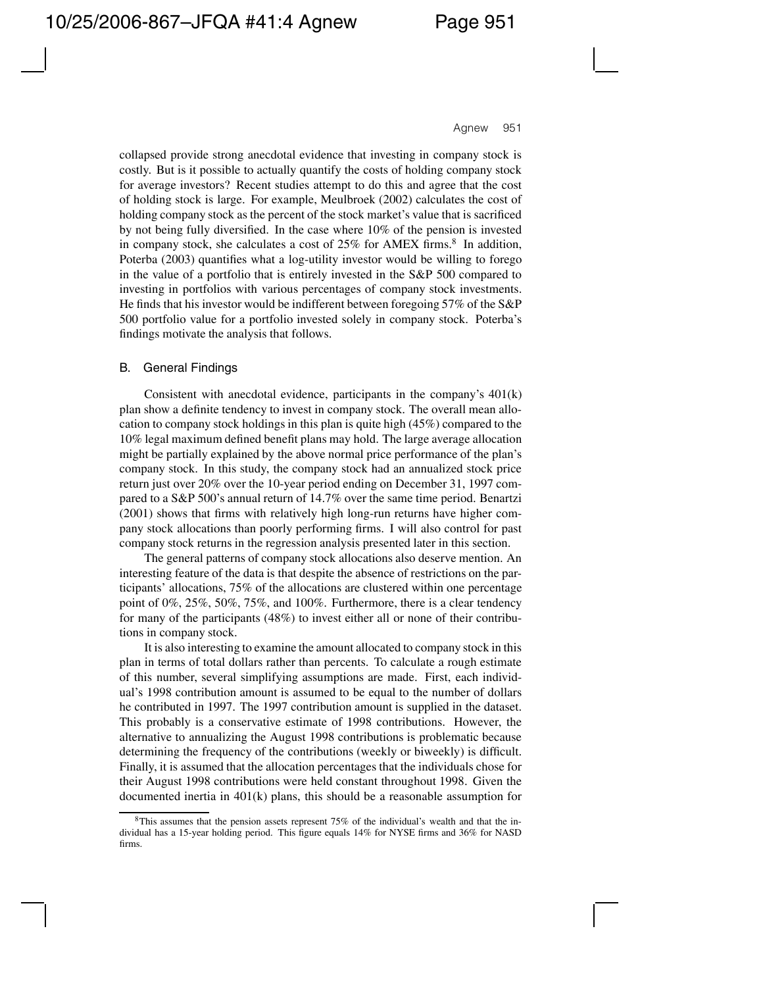collapsed provide strong anecdotal evidence that investing in company stock is costly. But is it possible to actually quantify the costs of holding company stock for average investors? Recent studies attempt to do this and agree that the cost of holding stock is large. For example, Meulbroek (2002) calculates the cost of holding company stock as the percent of the stock market's value that is sacrificed by not being fully diversified. In the case where 10% of the pension is invested in company stock, she calculates a cost of  $25\%$  for AMEX firms.<sup>8</sup> In addition, Poterba (2003) quantifies what a log-utility investor would be willing to forego in the value of a portfolio that is entirely invested in the S&P 500 compared to investing in portfolios with various percentages of company stock investments. He finds that his investor would be indifferent between foregoing 57% of the S&P 500 portfolio value for a portfolio invested solely in company stock. Poterba's findings motivate the analysis that follows.

### B. General Findings

Consistent with anecdotal evidence, participants in the company's 401(k) plan show a definite tendency to invest in company stock. The overall mean allocation to company stock holdings in this plan is quite high (45%) compared to the 10% legal maximum defined benefit plans may hold. The large average allocation might be partially explained by the above normal price performance of the plan's company stock. In this study, the company stock had an annualized stock price return just over 20% over the 10-year period ending on December 31, 1997 compared to a S&P 500's annual return of 14.7% over the same time period. Benartzi (2001) shows that firms with relatively high long-run returns have higher company stock allocations than poorly performing firms. I will also control for past company stock returns in the regression analysis presented later in this section.

The general patterns of company stock allocations also deserve mention. An interesting feature of the data is that despite the absence of restrictions on the participants' allocations, 75% of the allocations are clustered within one percentage point of 0%, 25%, 50%, 75%, and 100%. Furthermore, there is a clear tendency for many of the participants (48%) to invest either all or none of their contributions in company stock.

It is also interesting to examine the amount allocated to company stock in this plan in terms of total dollars rather than percents. To calculate a rough estimate of this number, several simplifying assumptions are made. First, each individual's 1998 contribution amount is assumed to be equal to the number of dollars he contributed in 1997. The 1997 contribution amount is supplied in the dataset. This probably is a conservative estimate of 1998 contributions. However, the alternative to annualizing the August 1998 contributions is problematic because determining the frequency of the contributions (weekly or biweekly) is difficult. Finally, it is assumed that the allocation percentages that the individuals chose for their August 1998 contributions were held constant throughout 1998. Given the documented inertia in 401(k) plans, this should be a reasonable assumption for

<sup>8</sup>This assumes that the pension assets represent 75% of the individual's wealth and that the individual has a 15-year holding period. This figure equals 14% for NYSE firms and 36% for NASD firms.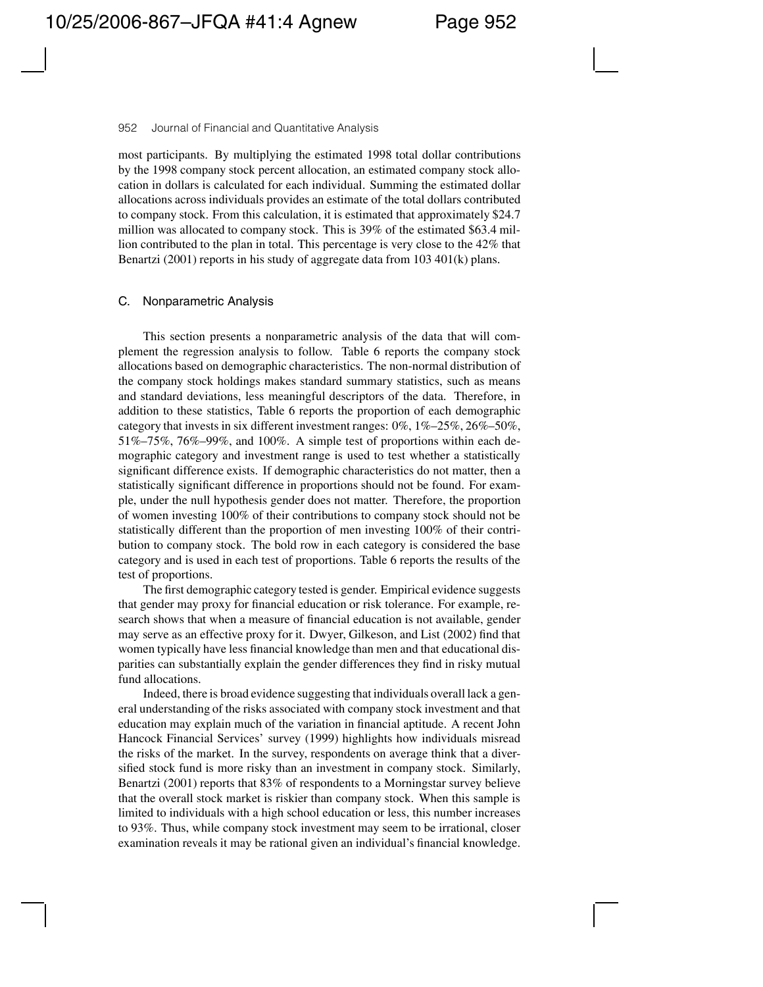most participants. By multiplying the estimated 1998 total dollar contributions by the 1998 company stock percent allocation, an estimated company stock allocation in dollars is calculated for each individual. Summing the estimated dollar allocations across individuals provides an estimate of the total dollars contributed to company stock. From this calculation, it is estimated that approximately \$24.7 million was allocated to company stock. This is 39% of the estimated \$63.4 million contributed to the plan in total. This percentage is very close to the 42% that Benartzi (2001) reports in his study of aggregate data from 103 401(k) plans.

### C. Nonparametric Analysis

This section presents a nonparametric analysis of the data that will complement the regression analysis to follow. Table 6 reports the company stock allocations based on demographic characteristics. The non-normal distribution of the company stock holdings makes standard summary statistics, such as means and standard deviations, less meaningful descriptors of the data. Therefore, in addition to these statistics, Table 6 reports the proportion of each demographic category that invests in six different investment ranges: 0%, 1%–25%, 26%–50%, 51%–75%, 76%–99%, and 100%. A simple test of proportions within each demographic category and investment range is used to test whether a statistically significant difference exists. If demographic characteristics do not matter, then a statistically significant difference in proportions should not be found. For example, under the null hypothesis gender does not matter. Therefore, the proportion of women investing 100% of their contributions to company stock should not be statistically different than the proportion of men investing 100% of their contribution to company stock. The bold row in each category is considered the base category and is used in each test of proportions. Table 6 reports the results of the test of proportions.

The first demographic category tested is gender. Empirical evidence suggests that gender may proxy for financial education or risk tolerance. For example, research shows that when a measure of financial education is not available, gender may serve as an effective proxy for it. Dwyer, Gilkeson, and List (2002) find that women typically have less financial knowledge than men and that educational disparities can substantially explain the gender differences they find in risky mutual fund allocations.

Indeed, there is broad evidence suggesting that individuals overall lack a general understanding of the risks associated with company stock investment and that education may explain much of the variation in financial aptitude. A recent John Hancock Financial Services' survey (1999) highlights how individuals misread the risks of the market. In the survey, respondents on average think that a diversified stock fund is more risky than an investment in company stock. Similarly, Benartzi (2001) reports that 83% of respondents to a Morningstar survey believe that the overall stock market is riskier than company stock. When this sample is limited to individuals with a high school education or less, this number increases to 93%. Thus, while company stock investment may seem to be irrational, closer examination reveals it may be rational given an individual's financial knowledge.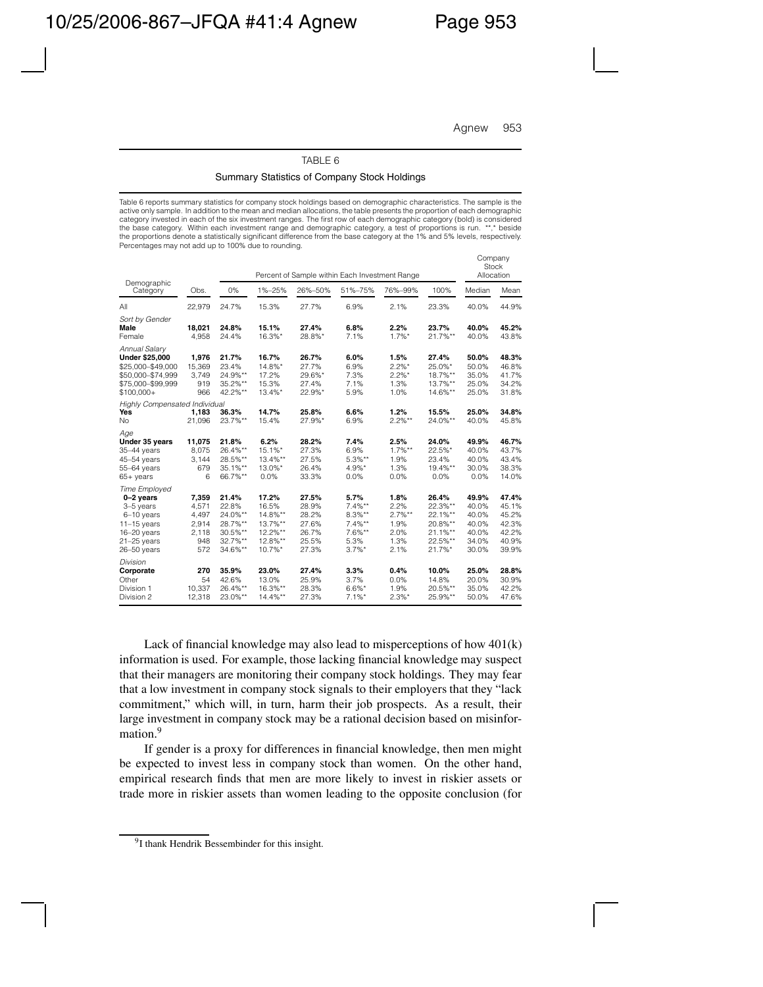Company

#### TABLE 6

#### Summary Statistics of Company Stock Holdings

Table 6 reports summary statistics for company stock holdings based on demographic characteristics. The sample is the active only sample. In addition to the mean and median allocations, the table presents the proportion of each demographic category invested in each of the six investment ranges. The first row of each demographic category (bold) is considered the base category. Within each investment range and demographic category, a test of proportions is run. \*\*,\* beside the proportions denote a statistically significant difference from the base category at the 1% and 5% levels, respectively. Percentages may not add up to 100% due to rounding.

|                                                                                                                                  |                                                         |                                                                       |                                                                         | Percent of Sample within Each Investment Range              |                                                                            |                                                           |                                                                           | Company<br><b>Stock</b><br>Allocation                       |                                                             |
|----------------------------------------------------------------------------------------------------------------------------------|---------------------------------------------------------|-----------------------------------------------------------------------|-------------------------------------------------------------------------|-------------------------------------------------------------|----------------------------------------------------------------------------|-----------------------------------------------------------|---------------------------------------------------------------------------|-------------------------------------------------------------|-------------------------------------------------------------|
| Demographic<br>Category                                                                                                          | Obs.                                                    | 0%                                                                    | 1%-25%                                                                  | 26%-50%                                                     | 51%-75%                                                                    | 76%-99%                                                   | 100%                                                                      | Median                                                      | Mean                                                        |
| All                                                                                                                              | 22,979                                                  | 24.7%                                                                 | 15.3%                                                                   | 27.7%                                                       | 6.9%                                                                       | 2.1%                                                      | 23.3%                                                                     | 40.0%                                                       | 44.9%                                                       |
| Sort by Gender<br>Male<br>Female                                                                                                 | 18,021<br>4.958                                         | 24.8%<br>24.4%                                                        | 15.1%<br>16.3%*                                                         | 27.4%<br>28.8%*                                             | 6.8%<br>7.1%                                                               | 2.2%<br>$1.7\%$ *                                         | 23.7%<br>21.7%**                                                          | 40.0%<br>40.0%                                              | 45.2%<br>43.8%                                              |
| Annual Salary<br><b>Under \$25,000</b><br>\$25,000-\$49,000<br>\$50,000-\$74,999<br>\$75,000-\$99,999<br>$$100,000+$             | 1.976<br>15,369<br>3.749<br>919<br>966                  | 21.7%<br>23.4%<br>24.9%**<br>35.2%**<br>42.2%**                       | 16.7%<br>14.8%*<br>17.2%<br>15.3%<br>$13.4\%$ *                         | 26.7%<br>27.7%<br>29.6%*<br>27.4%<br>22.9%*                 | 6.0%<br>6.9%<br>7.3%<br>7.1%<br>5.9%                                       | 1.5%<br>$2.2%$ *<br>$2.2%$ *<br>1.3%<br>1.0%              | 27.4%<br>25.0%*<br>18.7%**<br>13.7%**<br>14.6%**                          | 50.0%<br>50.0%<br>35.0%<br>25.0%<br>25.0%                   | 48.3%<br>46.8%<br>41.7%<br>34.2%<br>31.8%                   |
| Highly Compensated Individual<br>Yes<br>No                                                                                       | 1.183<br>21.096                                         | 36.3%<br>23.7%**                                                      | 14.7%<br>15.4%                                                          | 25.8%<br>27.9%*                                             | 6.6%<br>6.9%                                                               | 1.2%<br>$2.2%$ **                                         | 15.5%<br>24.0%**                                                          | 25.0%<br>40.0%                                              | 34.8%<br>45.8%                                              |
| Age<br>Under 35 years<br>$35-44$ years<br>$45-54$ years<br>$55-64$ years<br>$65+years$                                           | 11.075<br>8,075<br>3,144<br>679<br>6                    | 21.8%<br>26.4%**<br>28.5%**<br>$35.1\%**$<br>66.7%**                  | 6.2%<br>$15.1\%$ *<br>$13.4\%**$<br>$13.0\%$ *<br>0.0%                  | 28.2%<br>27.3%<br>27.5%<br>26.4%<br>33.3%                   | 7.4%<br>6.9%<br>$5.3%$ **<br>$4.9%$ *<br>0.0%                              | 2.5%<br>$1.7\%**$<br>1.9%<br>1.3%<br>0.0%                 | 24.0%<br>22.5%*<br>23.4%<br>19.4%**<br>0.0%                               | 49.9%<br>40.0%<br>40.0%<br>30.0%<br>0.0%                    | 46.7%<br>43.7%<br>43.4%<br>38.3%<br>14.0%                   |
| <b>Time Employed</b><br>$0-2$ years<br>3-5 years<br>6-10 years<br>$11-15$ years<br>$16-20$ years<br>$21-25$ years<br>26-50 years | 7,359<br>4,571<br>4,497<br>2,914<br>2,118<br>948<br>572 | 21.4%<br>22.8%<br>24.0%**<br>28.7%**<br>30.5%**<br>32.7%**<br>34.6%** | 17.2%<br>16.5%<br>14.8%**<br>$13.7\%**$<br>12.2%**<br>12.8%**<br>10.7%* | 27.5%<br>28.9%<br>28.2%<br>27.6%<br>26.7%<br>25.5%<br>27.3% | 5.7%<br>$7.4\%**$<br>8.3%**<br>$7.4\%**$<br>$7.6\%**$<br>5.3%<br>$3.7\%$ * | 1.8%<br>2.2%<br>$2.7\%**$<br>1.9%<br>2.0%<br>1.3%<br>2.1% | 26.4%<br>22.3%**<br>22.1%**<br>20.8%**<br>$21.1\%**$<br>22.5%**<br>21.7%* | 49.9%<br>40.0%<br>40.0%<br>40.0%<br>40.0%<br>34.0%<br>30.0% | 47.4%<br>45.1%<br>45.2%<br>42.3%<br>42.2%<br>40.9%<br>39.9% |
| Division<br>Corporate<br>Other<br>Division 1<br>Division 2                                                                       | 270<br>54<br>10.337<br>12.318                           | 35.9%<br>42.6%<br>26.4%**<br>23.0%**                                  | 23.0%<br>13.0%<br>16.3%**<br>$14.4\%**$                                 | 27.4%<br>25.9%<br>28.3%<br>27.3%                            | 3.3%<br>3.7%<br>$6.6\%$ *<br>$7.1\%$ *                                     | 0.4%<br>0.0%<br>1.9%<br>$2.3%$ *                          | 10.0%<br>14.8%<br>20.5%**<br>25.9%**                                      | 25.0%<br>20.0%<br>35.0%<br>50.0%                            | 28.8%<br>30.9%<br>42.2%<br>47.6%                            |

Lack of financial knowledge may also lead to misperceptions of how  $401(k)$ information is used. For example, those lacking financial knowledge may suspect that their managers are monitoring their company stock holdings. They may fear that a low investment in company stock signals to their employers that they "lack commitment," which will, in turn, harm their job prospects. As a result, their large investment in company stock may be a rational decision based on misinformation.<sup>9</sup>

If gender is a proxy for differences in financial knowledge, then men might be expected to invest less in company stock than women. On the other hand, empirical research finds that men are more likely to invest in riskier assets or trade more in riskier assets than women leading to the opposite conclusion (for

<sup>&</sup>lt;sup>9</sup>I thank Hendrik Bessembinder for this insight.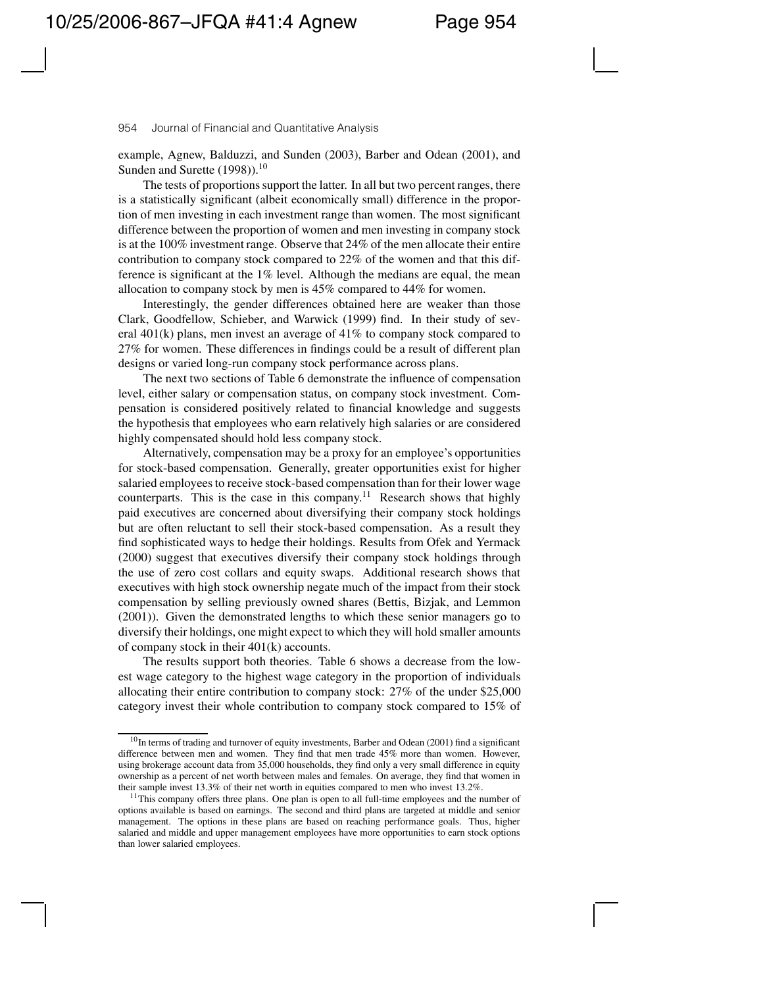example, Agnew, Balduzzi, and Sunden (2003), Barber and Odean (2001), and Sunden and Surette  $(1998)$ .<sup>10</sup>

The tests of proportions support the latter. In all but two percent ranges, there is a statistically significant (albeit economically small) difference in the proportion of men investing in each investment range than women. The most significant difference between the proportion of women and men investing in company stock is at the 100% investment range. Observe that 24% of the men allocate their entire contribution to company stock compared to 22% of the women and that this difference is significant at the 1% level. Although the medians are equal, the mean allocation to company stock by men is 45% compared to 44% for women.

Interestingly, the gender differences obtained here are weaker than those Clark, Goodfellow, Schieber, and Warwick (1999) find. In their study of several 401(k) plans, men invest an average of 41% to company stock compared to 27% for women. These differences in findings could be a result of different plan designs or varied long-run company stock performance across plans.

The next two sections of Table 6 demonstrate the influence of compensation level, either salary or compensation status, on company stock investment. Compensation is considered positively related to financial knowledge and suggests the hypothesis that employees who earn relatively high salaries or are considered highly compensated should hold less company stock.

Alternatively, compensation may be a proxy for an employee's opportunities for stock-based compensation. Generally, greater opportunities exist for higher salaried employees to receive stock-based compensation than for their lower wage counterparts. This is the case in this company.<sup>11</sup> Research shows that highly paid executives are concerned about diversifying their company stock holdings but are often reluctant to sell their stock-based compensation. As a result they find sophisticated ways to hedge their holdings. Results from Ofek and Yermack (2000) suggest that executives diversify their company stock holdings through the use of zero cost collars and equity swaps. Additional research shows that executives with high stock ownership negate much of the impact from their stock compensation by selling previously owned shares (Bettis, Bizjak, and Lemmon (2001)). Given the demonstrated lengths to which these senior managers go to diversify their holdings, one might expect to which they will hold smaller amounts of company stock in their 401(k) accounts.

The results support both theories. Table 6 shows a decrease from the lowest wage category to the highest wage category in the proportion of individuals allocating their entire contribution to company stock: 27% of the under \$25,000 category invest their whole contribution to company stock compared to 15% of

 $10$ In terms of trading and turnover of equity investments, Barber and Odean (2001) find a significant difference between men and women. They find that men trade 45% more than women. However, using brokerage account data from 35,000 households, they find only a very small difference in equity ownership as a percent of net worth between males and females. On average, they find that women in their sample invest 13.3% of their net worth in equities compared to men who invest 13.2%.

 $11$ This company offers three plans. One plan is open to all full-time employees and the number of options available is based on earnings. The second and third plans are targeted at middle and senior management. The options in these plans are based on reaching performance goals. Thus, higher salaried and middle and upper management employees have more opportunities to earn stock options than lower salaried employees.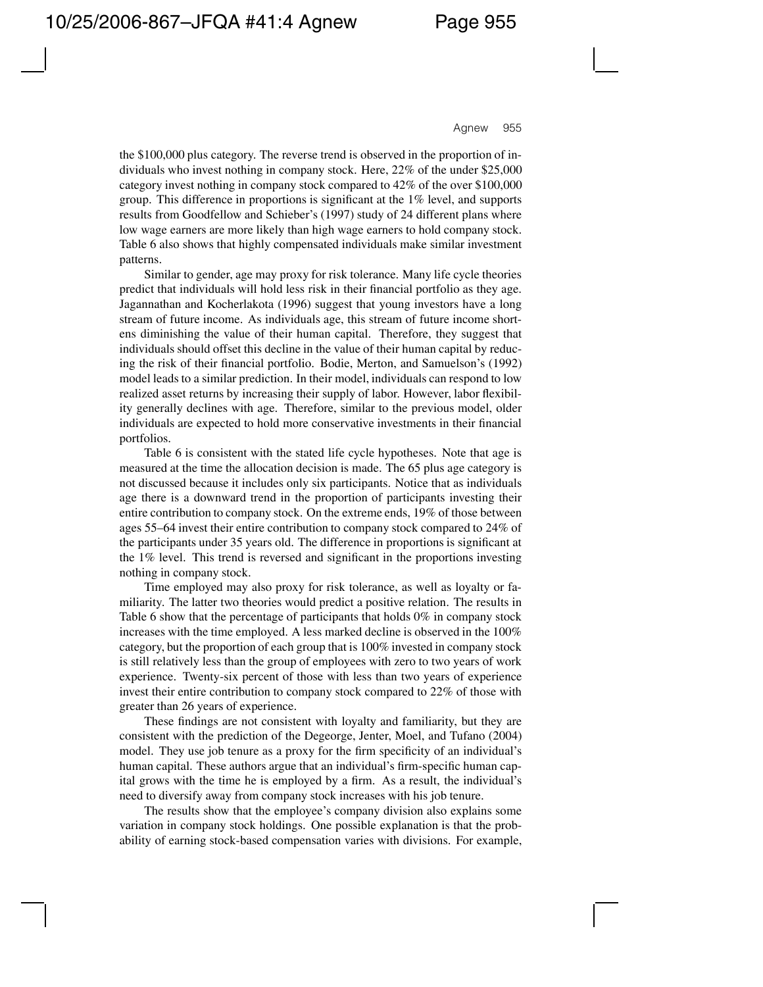the \$100,000 plus category. The reverse trend is observed in the proportion of individuals who invest nothing in company stock. Here, 22% of the under \$25,000 category invest nothing in company stock compared to 42% of the over \$100,000 group. This difference in proportions is significant at the 1% level, and supports results from Goodfellow and Schieber's (1997) study of 24 different plans where low wage earners are more likely than high wage earners to hold company stock. Table 6 also shows that highly compensated individuals make similar investment patterns.

Similar to gender, age may proxy for risk tolerance. Many life cycle theories predict that individuals will hold less risk in their financial portfolio as they age. Jagannathan and Kocherlakota (1996) suggest that young investors have a long stream of future income. As individuals age, this stream of future income shortens diminishing the value of their human capital. Therefore, they suggest that individuals should offset this decline in the value of their human capital by reducing the risk of their financial portfolio. Bodie, Merton, and Samuelson's (1992) model leads to a similar prediction. In their model, individuals can respond to low realized asset returns by increasing their supply of labor. However, labor flexibility generally declines with age. Therefore, similar to the previous model, older individuals are expected to hold more conservative investments in their financial portfolios.

Table 6 is consistent with the stated life cycle hypotheses. Note that age is measured at the time the allocation decision is made. The 65 plus age category is not discussed because it includes only six participants. Notice that as individuals age there is a downward trend in the proportion of participants investing their entire contribution to company stock. On the extreme ends, 19% of those between ages 55–64 invest their entire contribution to company stock compared to 24% of the participants under 35 years old. The difference in proportions is significant at the 1% level. This trend is reversed and significant in the proportions investing nothing in company stock.

Time employed may also proxy for risk tolerance, as well as loyalty or familiarity. The latter two theories would predict a positive relation. The results in Table 6 show that the percentage of participants that holds 0% in company stock increases with the time employed. A less marked decline is observed in the 100% category, but the proportion of each group that is 100% invested in company stock is still relatively less than the group of employees with zero to two years of work experience. Twenty-six percent of those with less than two years of experience invest their entire contribution to company stock compared to 22% of those with greater than 26 years of experience.

These findings are not consistent with loyalty and familiarity, but they are consistent with the prediction of the Degeorge, Jenter, Moel, and Tufano (2004) model. They use job tenure as a proxy for the firm specificity of an individual's human capital. These authors argue that an individual's firm-specific human capital grows with the time he is employed by a firm. As a result, the individual's need to diversify away from company stock increases with his job tenure.

The results show that the employee's company division also explains some variation in company stock holdings. One possible explanation is that the probability of earning stock-based compensation varies with divisions. For example,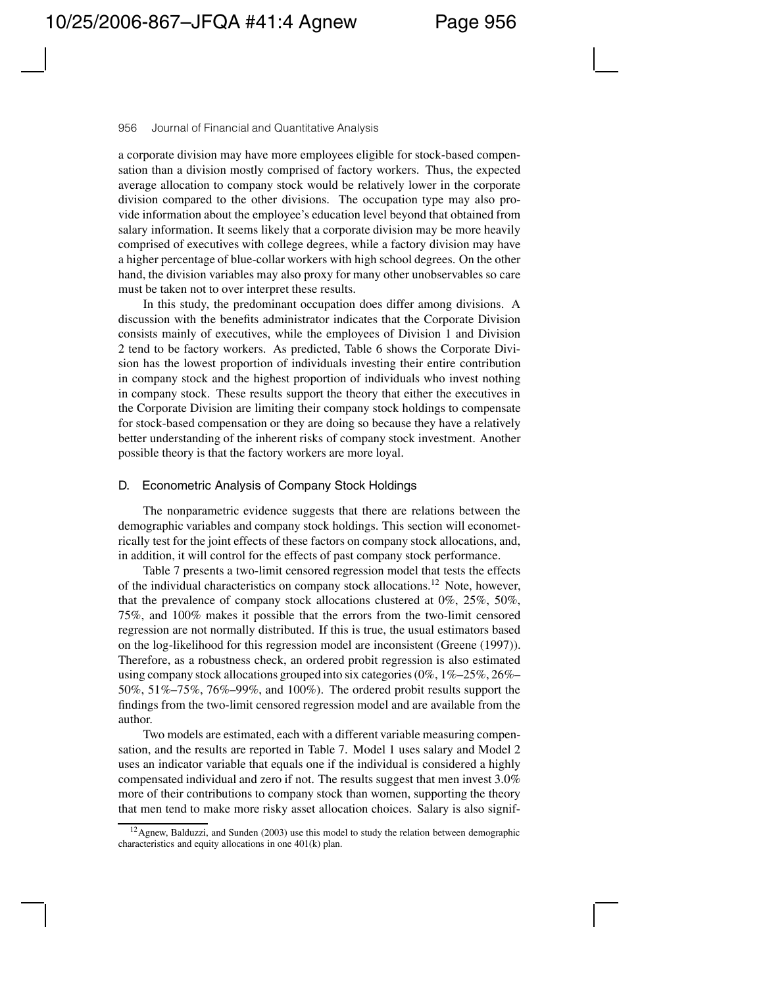a corporate division may have more employees eligible for stock-based compensation than a division mostly comprised of factory workers. Thus, the expected average allocation to company stock would be relatively lower in the corporate division compared to the other divisions. The occupation type may also provide information about the employee's education level beyond that obtained from salary information. It seems likely that a corporate division may be more heavily comprised of executives with college degrees, while a factory division may have a higher percentage of blue-collar workers with high school degrees. On the other hand, the division variables may also proxy for many other unobservables so care must be taken not to over interpret these results.

In this study, the predominant occupation does differ among divisions. A discussion with the benefits administrator indicates that the Corporate Division consists mainly of executives, while the employees of Division 1 and Division 2 tend to be factory workers. As predicted, Table 6 shows the Corporate Division has the lowest proportion of individuals investing their entire contribution in company stock and the highest proportion of individuals who invest nothing in company stock. These results support the theory that either the executives in the Corporate Division are limiting their company stock holdings to compensate for stock-based compensation or they are doing so because they have a relatively better understanding of the inherent risks of company stock investment. Another possible theory is that the factory workers are more loyal.

### D. Econometric Analysis of Company Stock Holdings

The nonparametric evidence suggests that there are relations between the demographic variables and company stock holdings. This section will econometrically test for the joint effects of these factors on company stock allocations, and, in addition, it will control for the effects of past company stock performance.

Table 7 presents a two-limit censored regression model that tests the effects of the individual characteristics on company stock allocations.12 Note, however, that the prevalence of company stock allocations clustered at 0%, 25%, 50%, 75%, and 100% makes it possible that the errors from the two-limit censored regression are not normally distributed. If this is true, the usual estimators based on the log-likelihood for this regression model are inconsistent (Greene (1997)). Therefore, as a robustness check, an ordered probit regression is also estimated using company stock allocations grouped into six categories (0%, 1%–25%, 26%– 50%, 51%–75%, 76%–99%, and 100%). The ordered probit results support the findings from the two-limit censored regression model and are available from the author.

Two models are estimated, each with a different variable measuring compensation, and the results are reported in Table 7. Model 1 uses salary and Model 2 uses an indicator variable that equals one if the individual is considered a highly compensated individual and zero if not. The results suggest that men invest 3.0% more of their contributions to company stock than women, supporting the theory that men tend to make more risky asset allocation choices. Salary is also signif-

 $12$  Agnew, Balduzzi, and Sunden (2003) use this model to study the relation between demographic characteristics and equity allocations in one 401(k) plan.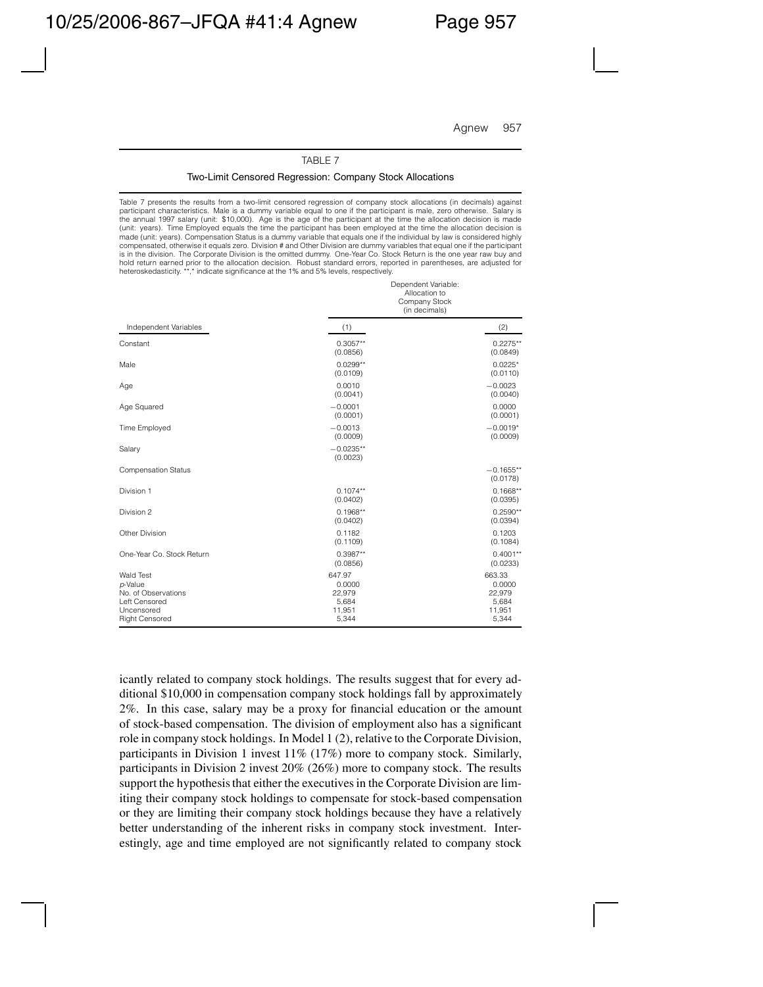Dependent Variable:

#### TABLE 7

#### Two-Limit Censored Regression: Company Stock Allocations

Table 7 presents the results from a two-limit censored regression of company stock allocations (in decimals) against participant characteristics. Male is a dummy variable equal to one if the participant is male, zero otherwise. Salary is the annual 1997 salary (unit: \$10,000). Age is the age of the participant at the time the allocation decision is made (unit: years). Time Employed equals the time the participant has been employed at the time the allocation decision is made (unit: years). Compensation Status is a dummy variable that equals one if the individual by law is considered highly compensated, otherwise it equals zero. Division # and Other Division are dummy variables that equal one if the participant is in the division. The Corporate Division is the omitted dummy. One-Year Co. Stock Return is the one year raw buy and hold return earned prior to the allocation decision. Robust standard errors, reported in parentheses, are adjusted for heteroskedasticity. \*\*,\* indicate significance at the 1% and 5% levels, respectively.

|                                                                                                     | bopondoni vanabio.<br>Allocation to<br>Company Stock<br>(in decimals) |                                                        |  |
|-----------------------------------------------------------------------------------------------------|-----------------------------------------------------------------------|--------------------------------------------------------|--|
| Independent Variables                                                                               | (1)                                                                   | (2)                                                    |  |
| Constant                                                                                            | $0.3057**$<br>(0.0856)                                                | $0.2275**$<br>(0.0849)                                 |  |
| Male                                                                                                | $0.0299**$<br>(0.0109)                                                | $0.0225*$<br>(0.0110)                                  |  |
| Age                                                                                                 | 0.0010<br>(0.0041)                                                    | $-0.0023$<br>(0.0040)                                  |  |
| Age Squared                                                                                         | $-0.0001$<br>(0.0001)                                                 | 0.0000<br>(0.0001)                                     |  |
| <b>Time Employed</b>                                                                                | $-0.0013$<br>(0.0009)                                                 | $-0.0019*$<br>(0.0009)                                 |  |
| Salary                                                                                              | $-0.0235**$<br>(0.0023)                                               |                                                        |  |
| <b>Compensation Status</b>                                                                          |                                                                       | $-0.1655**$<br>(0.0178)                                |  |
| Division 1                                                                                          | $0.1074**$<br>(0.0402)                                                | $0.1668**$<br>(0.0395)                                 |  |
| Division 2                                                                                          | $0.1968**$<br>(0.0402)                                                | $0.2590**$<br>(0.0394)                                 |  |
| Other Division                                                                                      | 0.1182<br>(0.1109)                                                    | 0.1203<br>(0.1084)                                     |  |
| One-Year Co. Stock Return                                                                           | $0.3987**$<br>(0.0856)                                                | $0.4001**$<br>(0.0233)                                 |  |
| Wald Test<br>p-Value<br>No. of Observations<br>Left Censored<br>Uncensored<br><b>Right Censored</b> | 647.97<br>0.0000<br>22,979<br>5,684<br>11,951<br>5,344                | 663.33<br>0.0000<br>22,979<br>5,684<br>11,951<br>5,344 |  |

icantly related to company stock holdings. The results suggest that for every additional \$10,000 in compensation company stock holdings fall by approximately 2%. In this case, salary may be a proxy for financial education or the amount of stock-based compensation. The division of employment also has a significant role in company stock holdings. In Model 1 (2), relative to the Corporate Division, participants in Division 1 invest 11% (17%) more to company stock. Similarly, participants in Division 2 invest 20% (26%) more to company stock. The results support the hypothesis that either the executives in the Corporate Division are limiting their company stock holdings to compensate for stock-based compensation or they are limiting their company stock holdings because they have a relatively better understanding of the inherent risks in company stock investment. Interestingly, age and time employed are not significantly related to company stock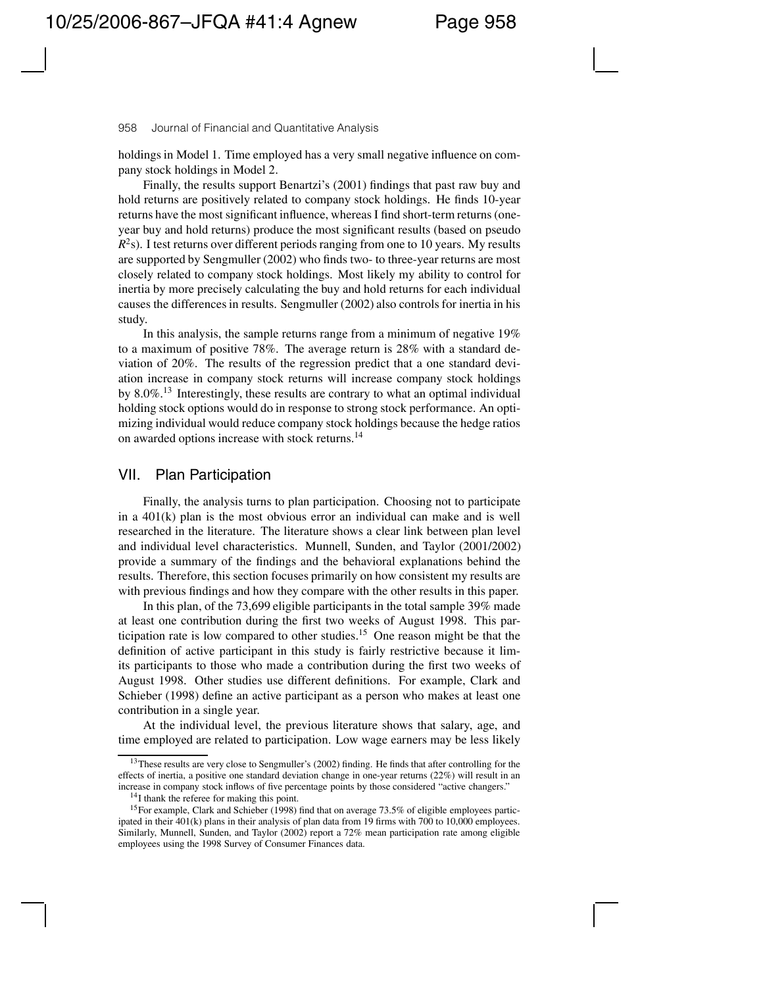holdings in Model 1. Time employed has a very small negative influence on company stock holdings in Model 2.

Finally, the results support Benartzi's (2001) findings that past raw buy and hold returns are positively related to company stock holdings. He finds 10-year returns have the most significant influence, whereas I find short-term returns (oneyear buy and hold returns) produce the most significant results (based on pseudo *R*<sup>2</sup>s). I test returns over different periods ranging from one to 10 years. My results are supported by Sengmuller (2002) who finds two- to three-year returns are most closely related to company stock holdings. Most likely my ability to control for inertia by more precisely calculating the buy and hold returns for each individual causes the differences in results. Sengmuller (2002) also controls for inertia in his study.

In this analysis, the sample returns range from a minimum of negative 19% to a maximum of positive 78%. The average return is 28% with a standard deviation of 20%. The results of the regression predict that a one standard deviation increase in company stock returns will increase company stock holdings by 8.0%.<sup>13</sup> Interestingly, these results are contrary to what an optimal individual holding stock options would do in response to strong stock performance. An optimizing individual would reduce company stock holdings because the hedge ratios on awarded options increase with stock returns.<sup>14</sup>

## VII. Plan Participation

Finally, the analysis turns to plan participation. Choosing not to participate in a 401(k) plan is the most obvious error an individual can make and is well researched in the literature. The literature shows a clear link between plan level and individual level characteristics. Munnell, Sunden, and Taylor (2001/2002) provide a summary of the findings and the behavioral explanations behind the results. Therefore, this section focuses primarily on how consistent my results are with previous findings and how they compare with the other results in this paper.

In this plan, of the 73,699 eligible participants in the total sample 39% made at least one contribution during the first two weeks of August 1998. This participation rate is low compared to other studies.15 One reason might be that the definition of active participant in this study is fairly restrictive because it limits participants to those who made a contribution during the first two weeks of August 1998. Other studies use different definitions. For example, Clark and Schieber (1998) define an active participant as a person who makes at least one contribution in a single year.

At the individual level, the previous literature shows that salary, age, and time employed are related to participation. Low wage earners may be less likely

<sup>&</sup>lt;sup>13</sup>These results are very close to Sengmuller's (2002) finding. He finds that after controlling for the effects of inertia, a positive one standard deviation change in one-year returns (22%) will result in an increase in company stock inflows of five percentage points by those considered "active changers."

<sup>&</sup>lt;sup>14</sup>I thank the referee for making this point.

<sup>15</sup>For example, Clark and Schieber (1998) find that on average 73.5% of eligible employees participated in their 401(k) plans in their analysis of plan data from 19 firms with 700 to 10,000 employees. Similarly, Munnell, Sunden, and Taylor (2002) report a 72% mean participation rate among eligible employees using the 1998 Survey of Consumer Finances data.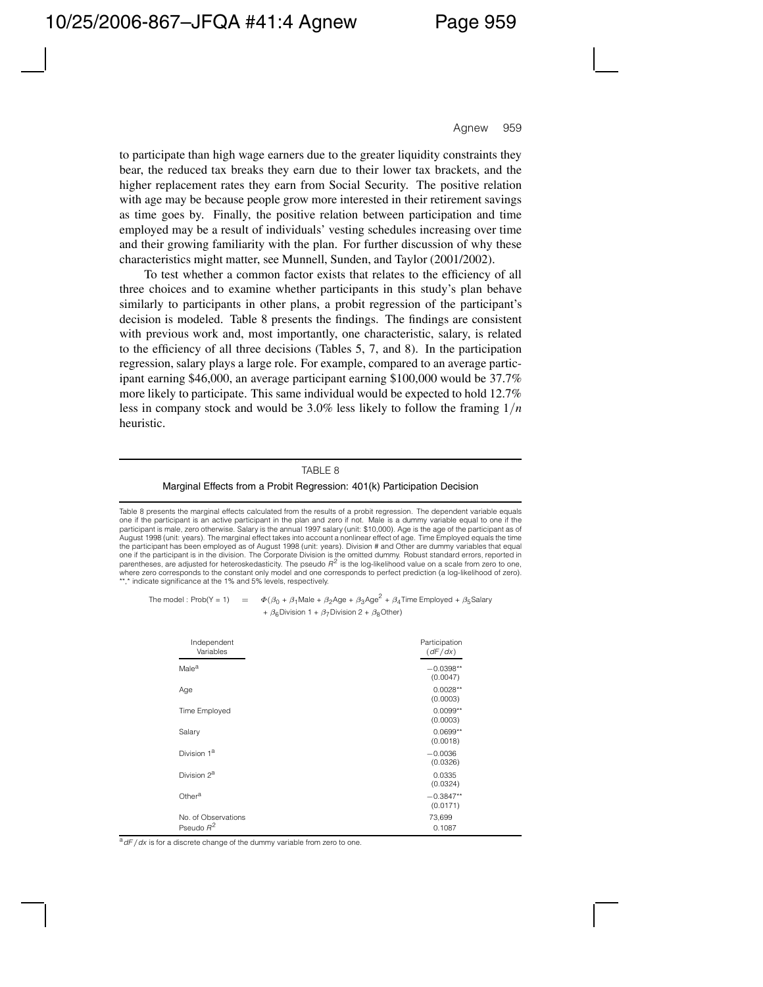to participate than high wage earners due to the greater liquidity constraints they bear, the reduced tax breaks they earn due to their lower tax brackets, and the higher replacement rates they earn from Social Security. The positive relation with age may be because people grow more interested in their retirement savings as time goes by. Finally, the positive relation between participation and time employed may be a result of individuals' vesting schedules increasing over time and their growing familiarity with the plan. For further discussion of why these characteristics might matter, see Munnell, Sunden, and Taylor (2001/2002).

To test whether a common factor exists that relates to the efficiency of all three choices and to examine whether participants in this study's plan behave similarly to participants in other plans, a probit regression of the participant's decision is modeled. Table 8 presents the findings. The findings are consistent with previous work and, most importantly, one characteristic, salary, is related to the efficiency of all three decisions (Tables 5, 7, and 8). In the participation regression, salary plays a large role. For example, compared to an average participant earning \$46,000, an average participant earning \$100,000 would be 37.7% more likely to participate. This same individual would be expected to hold 12.7% less in company stock and would be 3.0% less likely to follow the framing 1*/n* heuristic.

### TABLE 8

#### Marginal Effects from a Probit Regression: 401(k) Participation Decision

Table 8 presents the marginal effects calculated from the results of a probit regression. The dependent variable equals one if the participant is an active participant in the plan and zero if not. Male is a dummy variable equal to one if the participant is male, zero otherwise. Salary is the annual 1997 salary (unit: \$10,000). Age is the age of the participant as of August 1998 (unit: years). The marginal effect takes into account a nonlinear effect of age. Time Employed equals the time the participant has been employed as of August 1998 (unit: years). Division # and Other are dummy variables that equal one if the participant is in the division. The Corporate Division is the omitted dummy. Robust standard errors, reported in parentheses, are adjusted for heteroskedasticity. The pseudo  $R^2$  is the log-likelihood value on a scale from zero to one, where zero corresponds to the constant only model and one corresponds to perfect prediction (a log-likelihood of zero). \*,\* indicate significance at the 1% and 5% levels, respectively.

The model : Prob(Y = 1) =  $\Phi(\beta_0 + \beta_1)$ Male +  $\beta_2$ Age +  $\beta_3$ Age<sup>2</sup> +  $\beta_4$ Time Employed +  $\beta_5$ Salary +  $\beta_6$ Division 1 +  $\beta_7$ Division 2 +  $\beta_8$ Other)

| Independent<br>Variables            | Participation<br>(dF/dx) |
|-------------------------------------|--------------------------|
| Male <sup>a</sup>                   | $-0.0398**$<br>(0.0047)  |
| Age                                 | $0.0028**$<br>(0.0003)   |
| Time Employed                       | $0.0099**$<br>(0.0003)   |
| Salary                              | $0.0699**$<br>(0.0018)   |
| Division 1 <sup>a</sup>             | $-0.0036$<br>(0.0326)    |
| Division 2 <sup>a</sup>             | 0.0335<br>(0.0324)       |
| Other <sup>a</sup>                  | $-0.3847**$<br>(0.0171)  |
| No. of Observations<br>Pseudo $R^2$ | 73,699<br>0.1087         |

a<sup>d</sup> dF / dx is for a discrete change of the dummy variable from zero to one.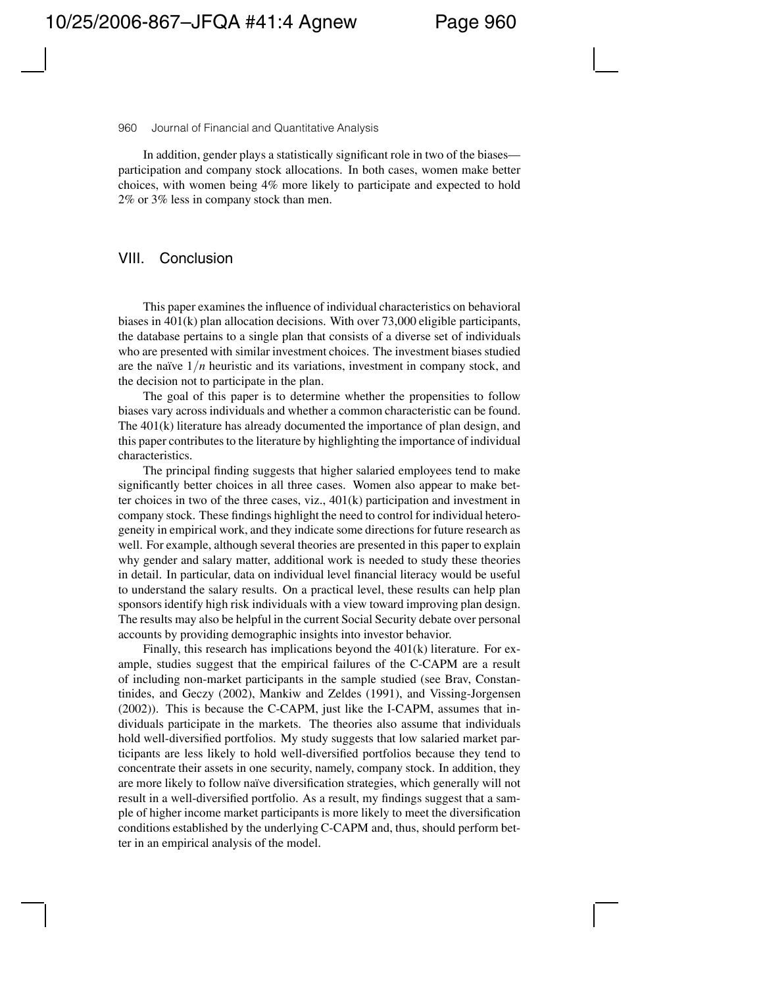In addition, gender plays a statistically significant role in two of the biases participation and company stock allocations. In both cases, women make better choices, with women being 4% more likely to participate and expected to hold 2% or 3% less in company stock than men.

## VIII. Conclusion

This paper examines the influence of individual characteristics on behavioral biases in 401(k) plan allocation decisions. With over 73,000 eligible participants, the database pertains to a single plan that consists of a diverse set of individuals who are presented with similar investment choices. The investment biases studied are the naïve  $1/n$  heuristic and its variations, investment in company stock, and the decision not to participate in the plan.

The goal of this paper is to determine whether the propensities to follow biases vary across individuals and whether a common characteristic can be found. The 401(k) literature has already documented the importance of plan design, and this paper contributes to the literature by highlighting the importance of individual characteristics.

The principal finding suggests that higher salaried employees tend to make significantly better choices in all three cases. Women also appear to make better choices in two of the three cases, viz., 401(k) participation and investment in company stock. These findings highlight the need to control for individual heterogeneity in empirical work, and they indicate some directions for future research as well. For example, although several theories are presented in this paper to explain why gender and salary matter, additional work is needed to study these theories in detail. In particular, data on individual level financial literacy would be useful to understand the salary results. On a practical level, these results can help plan sponsors identify high risk individuals with a view toward improving plan design. The results may also be helpful in the current Social Security debate over personal accounts by providing demographic insights into investor behavior.

Finally, this research has implications beyond the 401(k) literature. For example, studies suggest that the empirical failures of the C-CAPM are a result of including non-market participants in the sample studied (see Brav, Constantinides, and Geczy (2002), Mankiw and Zeldes (1991), and Vissing-Jorgensen (2002)). This is because the C-CAPM, just like the I-CAPM, assumes that individuals participate in the markets. The theories also assume that individuals hold well-diversified portfolios. My study suggests that low salaried market participants are less likely to hold well-diversified portfolios because they tend to concentrate their assets in one security, namely, company stock. In addition, they are more likely to follow naïve diversification strategies, which generally will not result in a well-diversified portfolio. As a result, my findings suggest that a sample of higher income market participants is more likely to meet the diversification conditions established by the underlying C-CAPM and, thus, should perform better in an empirical analysis of the model.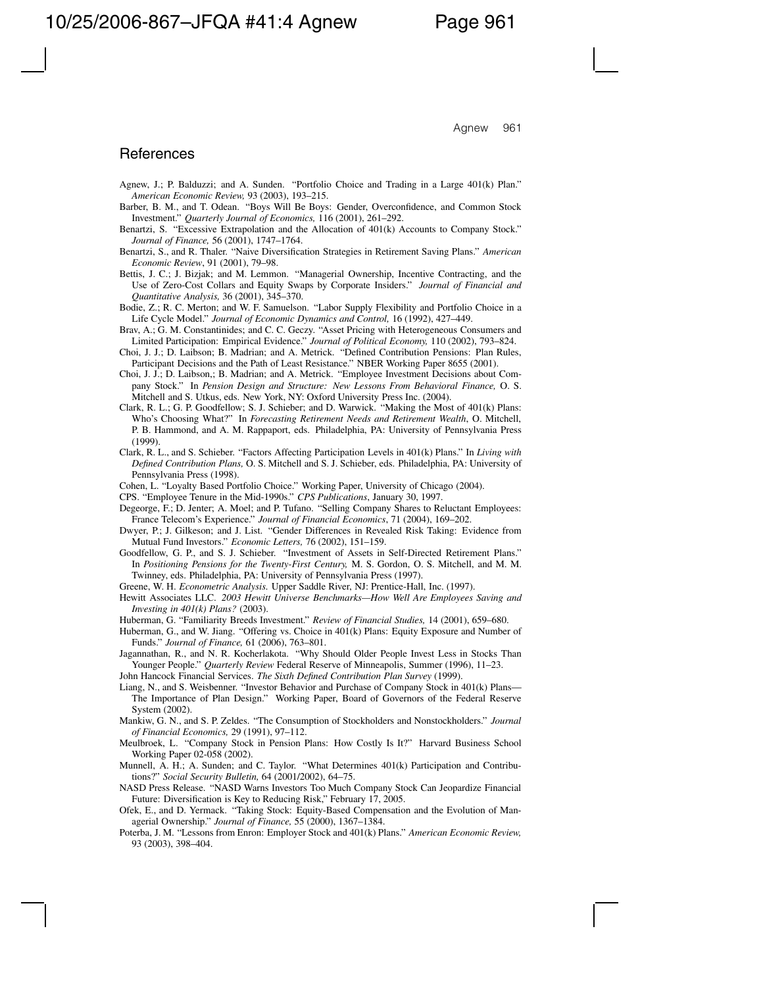## References

- Agnew, J.; P. Balduzzi; and A. Sunden. "Portfolio Choice and Trading in a Large 401(k) Plan." *American Economic Review,* 93 (2003), 193–215.
- Barber, B. M., and T. Odean. "Boys Will Be Boys: Gender, Overconfidence, and Common Stock Investment." *Quarterly Journal of Economics,* 116 (2001), 261–292.
- Benartzi, S. "Excessive Extrapolation and the Allocation of 401(k) Accounts to Company Stock." *Journal of Finance,* 56 (2001), 1747–1764.
- Benartzi, S., and R. Thaler. "Naive Diversification Strategies in Retirement Saving Plans." *American Economic Review*, 91 (2001), 79–98.
- Bettis, J. C.; J. Bizjak; and M. Lemmon. "Managerial Ownership, Incentive Contracting, and the Use of Zero-Cost Collars and Equity Swaps by Corporate Insiders." *Journal of Financial and Quantitative Analysis,* 36 (2001), 345–370.
- Bodie, Z.; R. C. Merton; and W. F. Samuelson. "Labor Supply Flexibility and Portfolio Choice in a Life Cycle Model." *Journal of Economic Dynamics and Control,* 16 (1992), 427–449.
- Brav, A.; G. M. Constantinides; and C. C. Geczy. "Asset Pricing with Heterogeneous Consumers and Limited Participation: Empirical Evidence." *Journal of Political Economy,* 110 (2002), 793–824.
- Choi, J. J.; D. Laibson; B. Madrian; and A. Metrick. "Defined Contribution Pensions: Plan Rules, Participant Decisions and the Path of Least Resistance." NBER Working Paper 8655 (2001).
- Choi, J. J.; D. Laibson,; B. Madrian; and A. Metrick. "Employee Investment Decisions about Company Stock." In *Pension Design and Structure: New Lessons From Behavioral Finance,* O. S. Mitchell and S. Utkus, eds. New York, NY: Oxford University Press Inc. (2004).
- Clark, R. L.; G. P. Goodfellow; S. J. Schieber; and D. Warwick. "Making the Most of 401(k) Plans: Who's Choosing What?" In *Forecasting Retirement Needs and Retirement Wealth*, O. Mitchell, P. B. Hammond, and A. M. Rappaport, eds. Philadelphia, PA: University of Pennsylvania Press (1999).
- Clark, R. L., and S. Schieber. "Factors Affecting Participation Levels in 401(k) Plans." In *Living with Defined Contribution Plans,* O. S. Mitchell and S. J. Schieber, eds. Philadelphia, PA: University of Pennsylvania Press (1998).
- Cohen, L. "Loyalty Based Portfolio Choice." Working Paper, University of Chicago (2004).
- CPS. "Employee Tenure in the Mid-1990s." *CPS Publications*, January 30, 1997.
- Degeorge, F.; D. Jenter; A. Moel; and P. Tufano. "Selling Company Shares to Reluctant Employees: France Telecom's Experience." *Journal of Financial Economics*, 71 (2004), 169–202.
- Dwyer, P.; J. Gilkeson; and J. List. "Gender Differences in Revealed Risk Taking: Evidence from Mutual Fund Investors." *Economic Letters,* 76 (2002), 151–159.
- Goodfellow, G. P., and S. J. Schieber. "Investment of Assets in Self-Directed Retirement Plans." In *Positioning Pensions for the Twenty-First Century,* M. S. Gordon, O. S. Mitchell, and M. M. Twinney, eds. Philadelphia, PA: University of Pennsylvania Press (1997).
- Greene, W. H. *Econometric Analysis.* Upper Saddle River, NJ: Prentice-Hall, Inc. (1997).
- Hewitt Associates LLC. *2003 Hewitt Universe Benchmarks—How Well Are Employees Saving and Investing in 401(k) Plans?* (2003).
- Huberman, G. "Familiarity Breeds Investment." *Review of Financial Studies,* 14 (2001), 659–680.
- Huberman, G., and W. Jiang. "Offering vs. Choice in 401(k) Plans: Equity Exposure and Number of Funds." *Journal of Finance,* 61 (2006), 763–801.
- Jagannathan, R., and N. R. Kocherlakota. "Why Should Older People Invest Less in Stocks Than Younger People." *Quarterly Review* Federal Reserve of Minneapolis, Summer (1996), 11–23.
- John Hancock Financial Services. *The Sixth Defined Contribution Plan Survey* (1999).
- Liang, N., and S. Weisbenner. "Investor Behavior and Purchase of Company Stock in 401(k) Plans— The Importance of Plan Design." Working Paper, Board of Governors of the Federal Reserve System (2002).
- Mankiw, G. N., and S. P. Zeldes. "The Consumption of Stockholders and Nonstockholders." *Journal of Financial Economics,* 29 (1991), 97–112.
- Meulbroek, L. "Company Stock in Pension Plans: How Costly Is It?" Harvard Business School Working Paper 02-058 (2002).
- Munnell, A. H.; A. Sunden; and C. Taylor. "What Determines 401(k) Participation and Contributions?" *Social Security Bulletin,* 64 (2001/2002), 64–75.
- NASD Press Release. "NASD Warns Investors Too Much Company Stock Can Jeopardize Financial Future: Diversification is Key to Reducing Risk," February 17, 2005.
- Ofek, E., and D. Yermack. "Taking Stock: Equity-Based Compensation and the Evolution of Managerial Ownership." *Journal of Finance,* 55 (2000), 1367–1384.
- Poterba, J. M. "Lessons from Enron: Employer Stock and 401(k) Plans." *American Economic Review,* 93 (2003), 398–404.